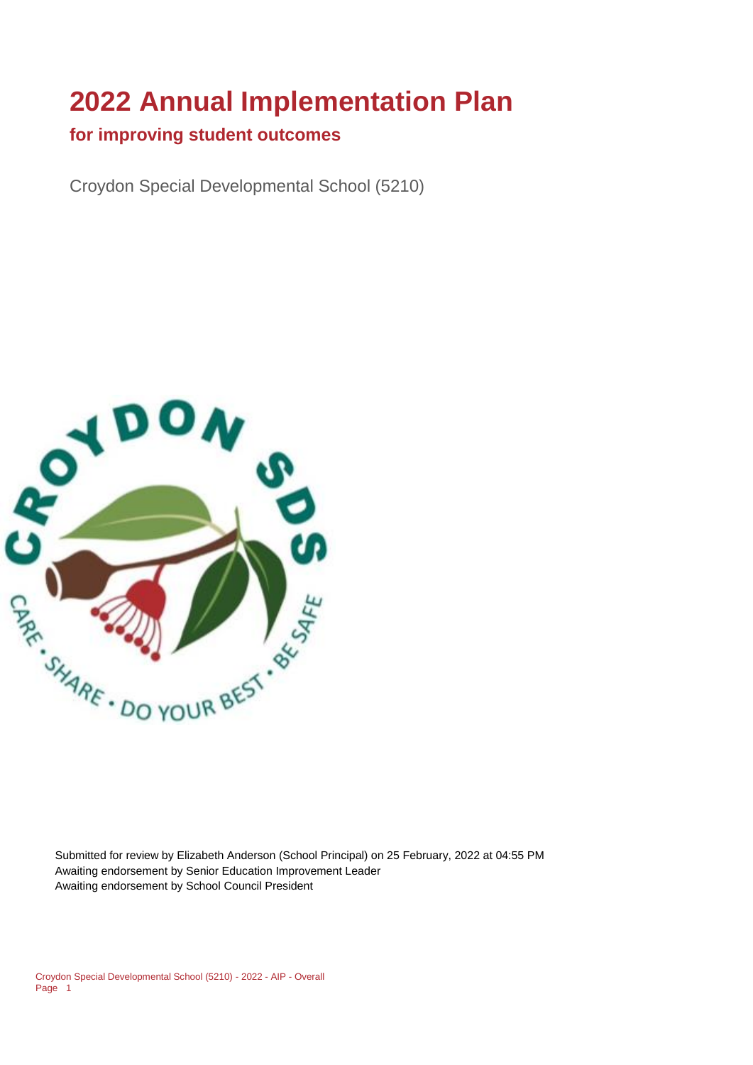# **2022 Annual Implementation Plan**

### **for improving student outcomes**

Croydon Special Developmental School (5210)



Submitted for review by Elizabeth Anderson (School Principal) on 25 February, 2022 at 04:55 PM Awaiting endorsement by Senior Education Improvement Leader Awaiting endorsement by School Council President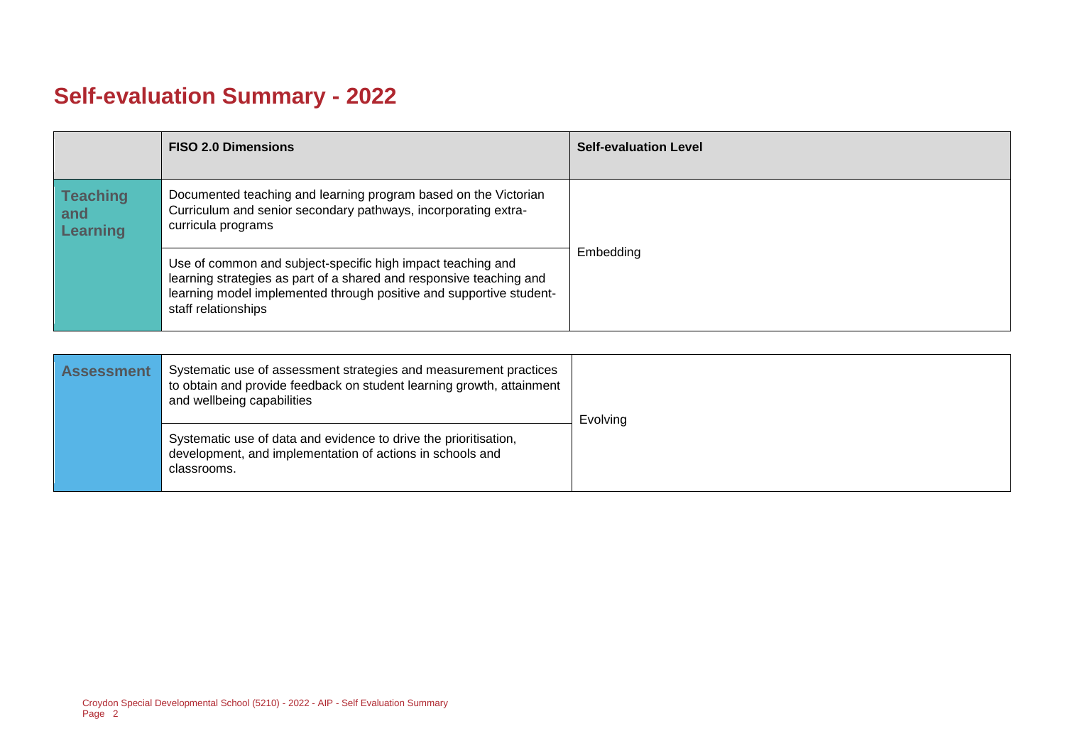# **Self-evaluation Summary - 2022**

|                                           | <b>FISO 2.0 Dimensions</b>                                                                                                                                                                                                       | <b>Self-evaluation Level</b> |
|-------------------------------------------|----------------------------------------------------------------------------------------------------------------------------------------------------------------------------------------------------------------------------------|------------------------------|
| <b>Teaching</b><br>and<br><b>Learning</b> | Documented teaching and learning program based on the Victorian<br>Curriculum and senior secondary pathways, incorporating extra-<br>curricula programs                                                                          |                              |
|                                           | Use of common and subject-specific high impact teaching and<br>learning strategies as part of a shared and responsive teaching and<br>learning model implemented through positive and supportive student-<br>staff relationships | Embedding                    |

| <b>Assessment</b> | Systematic use of assessment strategies and measurement practices<br>to obtain and provide feedback on student learning growth, attainment<br>and wellbeing capabilities | Evolving |
|-------------------|--------------------------------------------------------------------------------------------------------------------------------------------------------------------------|----------|
|                   | Systematic use of data and evidence to drive the prioritisation,<br>development, and implementation of actions in schools and<br>classrooms.                             |          |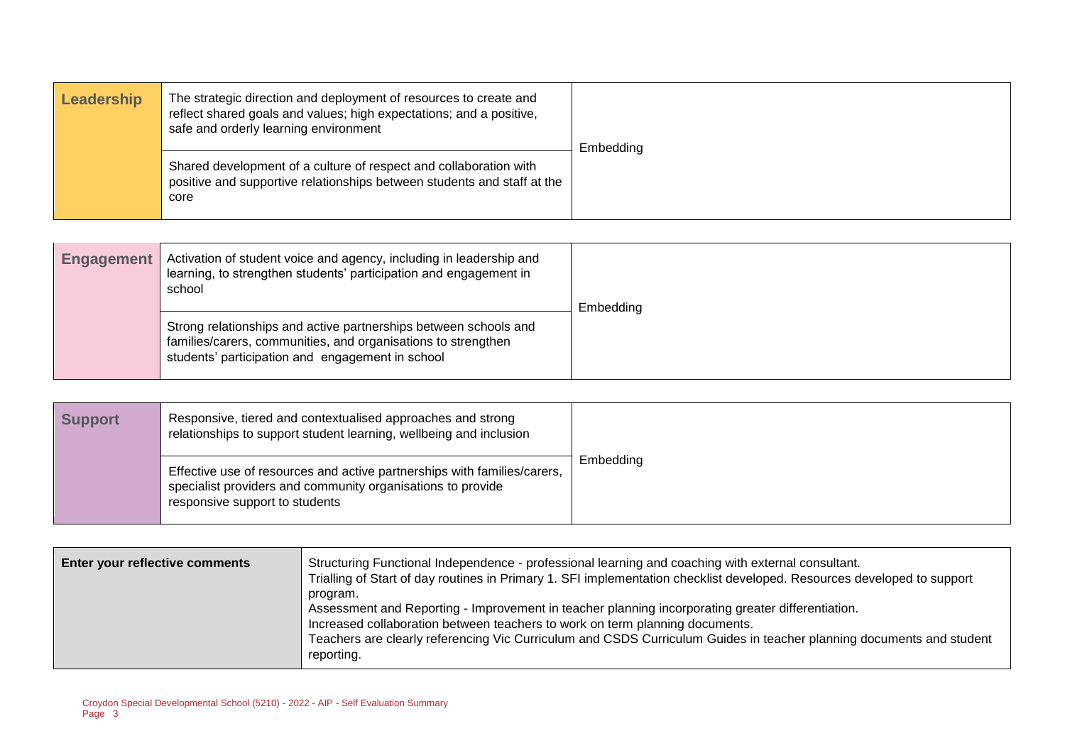| Leadership | The strategic direction and deployment of resources to create and<br>reflect shared goals and values; high expectations; and a positive,<br>safe and orderly learning environment | Embedding |
|------------|-----------------------------------------------------------------------------------------------------------------------------------------------------------------------------------|-----------|
|            | Shared development of a culture of respect and collaboration with<br>positive and supportive relationships between students and staff at the<br>core                              |           |

| <b>Engagement</b> | Activation of student voice and agency, including in leadership and<br>learning, to strengthen students' participation and engagement in<br>school                                    | Embedding |
|-------------------|---------------------------------------------------------------------------------------------------------------------------------------------------------------------------------------|-----------|
|                   | Strong relationships and active partnerships between schools and<br>families/carers, communities, and organisations to strengthen<br>students' participation and engagement in school |           |

| <b>Support</b> | Responsive, tiered and contextualised approaches and strong<br>relationships to support student learning, wellbeing and inclusion                                         |           |
|----------------|---------------------------------------------------------------------------------------------------------------------------------------------------------------------------|-----------|
|                | Effective use of resources and active partnerships with families/carers,<br>specialist providers and community organisations to provide<br>responsive support to students | Embeddina |

| <b>Enter your reflective comments</b> | Structuring Functional Independence - professional learning and coaching with external consultant.<br>Trialling of Start of day routines in Primary 1. SFI implementation checklist developed. Resources developed to support<br>program.<br>Assessment and Reporting - Improvement in teacher planning incorporating greater differentiation.<br>Increased collaboration between teachers to work on term planning documents.<br>Teachers are clearly referencing Vic Curriculum and CSDS Curriculum Guides in teacher planning documents and student<br>reporting. |
|---------------------------------------|----------------------------------------------------------------------------------------------------------------------------------------------------------------------------------------------------------------------------------------------------------------------------------------------------------------------------------------------------------------------------------------------------------------------------------------------------------------------------------------------------------------------------------------------------------------------|
|                                       |                                                                                                                                                                                                                                                                                                                                                                                                                                                                                                                                                                      |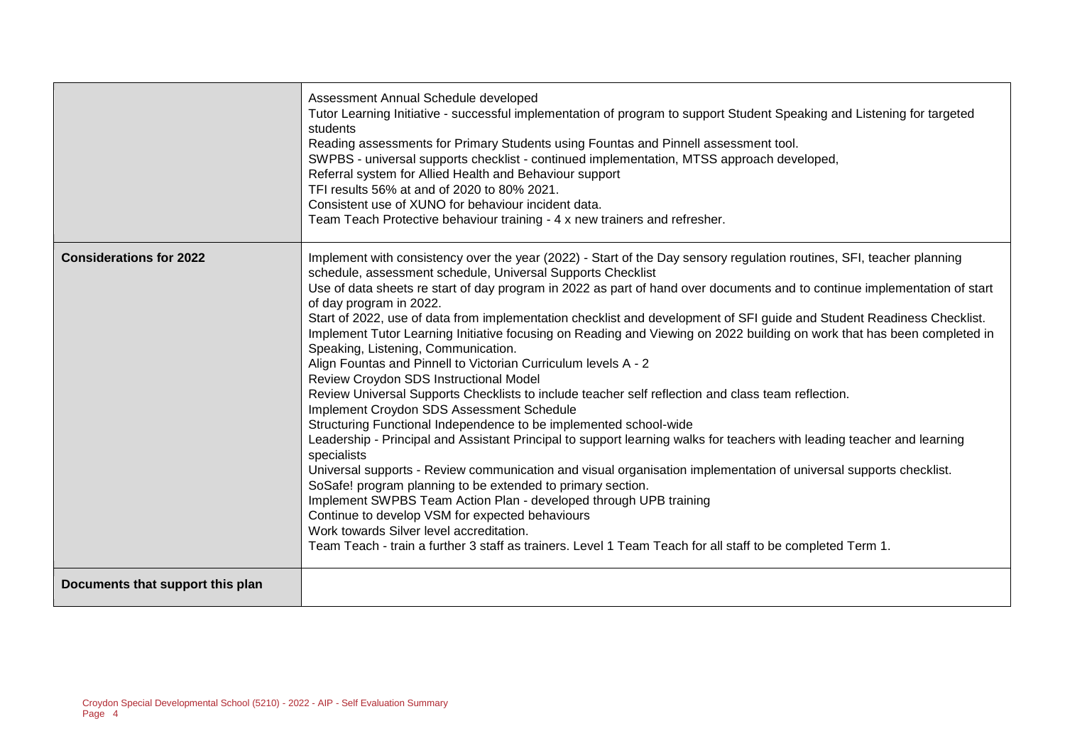|                                  | Assessment Annual Schedule developed<br>Tutor Learning Initiative - successful implementation of program to support Student Speaking and Listening for targeted<br>students<br>Reading assessments for Primary Students using Fountas and Pinnell assessment tool.<br>SWPBS - universal supports checklist - continued implementation, MTSS approach developed,<br>Referral system for Allied Health and Behaviour support<br>TFI results 56% at and of 2020 to 80% 2021.<br>Consistent use of XUNO for behaviour incident data.<br>Team Teach Protective behaviour training - 4 x new trainers and refresher.                                                                                                                                                                                                                                                                                                                                                                                                                                                                                                                                                                                                                                                                                                                                                                                                                                                                                                                                                                               |
|----------------------------------|----------------------------------------------------------------------------------------------------------------------------------------------------------------------------------------------------------------------------------------------------------------------------------------------------------------------------------------------------------------------------------------------------------------------------------------------------------------------------------------------------------------------------------------------------------------------------------------------------------------------------------------------------------------------------------------------------------------------------------------------------------------------------------------------------------------------------------------------------------------------------------------------------------------------------------------------------------------------------------------------------------------------------------------------------------------------------------------------------------------------------------------------------------------------------------------------------------------------------------------------------------------------------------------------------------------------------------------------------------------------------------------------------------------------------------------------------------------------------------------------------------------------------------------------------------------------------------------------|
| <b>Considerations for 2022</b>   | Implement with consistency over the year (2022) - Start of the Day sensory regulation routines, SFI, teacher planning<br>schedule, assessment schedule, Universal Supports Checklist<br>Use of data sheets re start of day program in 2022 as part of hand over documents and to continue implementation of start<br>of day program in 2022.<br>Start of 2022, use of data from implementation checklist and development of SFI guide and Student Readiness Checklist.<br>Implement Tutor Learning Initiative focusing on Reading and Viewing on 2022 building on work that has been completed in<br>Speaking, Listening, Communication.<br>Align Fountas and Pinnell to Victorian Curriculum levels A - 2<br>Review Croydon SDS Instructional Model<br>Review Universal Supports Checklists to include teacher self reflection and class team reflection.<br>Implement Croydon SDS Assessment Schedule<br>Structuring Functional Independence to be implemented school-wide<br>Leadership - Principal and Assistant Principal to support learning walks for teachers with leading teacher and learning<br>specialists<br>Universal supports - Review communication and visual organisation implementation of universal supports checklist.<br>SoSafe! program planning to be extended to primary section.<br>Implement SWPBS Team Action Plan - developed through UPB training<br>Continue to develop VSM for expected behaviours<br>Work towards Silver level accreditation.<br>Team Teach - train a further 3 staff as trainers. Level 1 Team Teach for all staff to be completed Term 1. |
| Documents that support this plan |                                                                                                                                                                                                                                                                                                                                                                                                                                                                                                                                                                                                                                                                                                                                                                                                                                                                                                                                                                                                                                                                                                                                                                                                                                                                                                                                                                                                                                                                                                                                                                                              |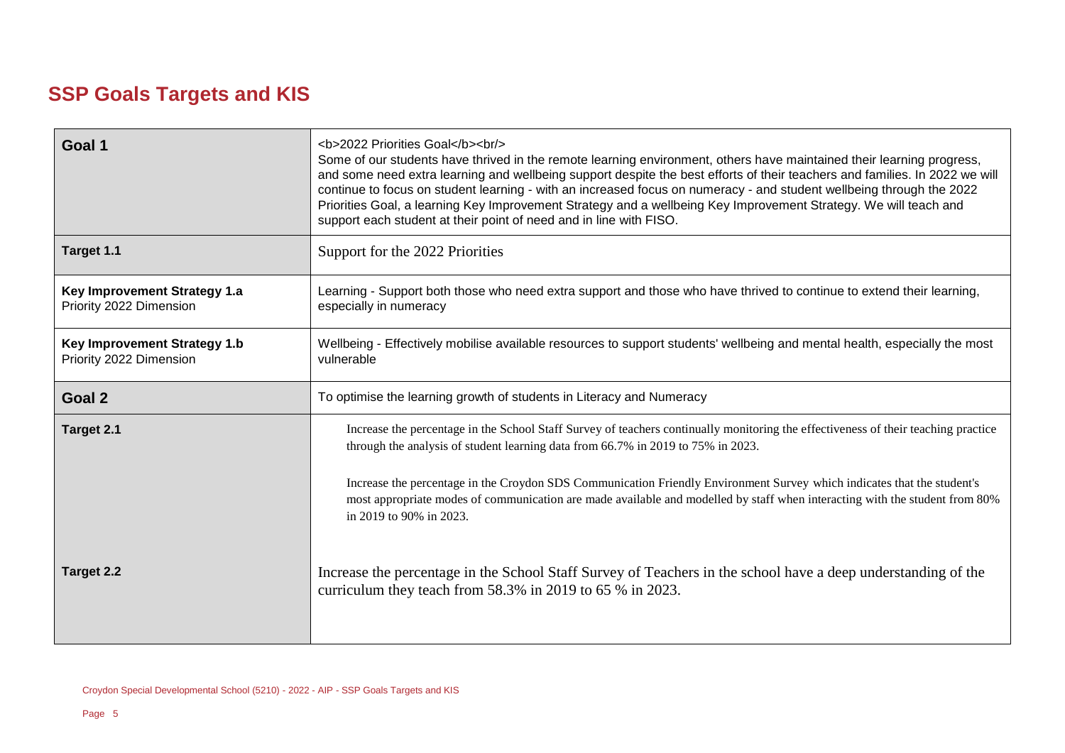# **SSP Goals Targets and KIS**

| Goal 1                                                  | <b>2022 Priorities Goal</b><br><br><br>Some of our students have thrived in the remote learning environment, others have maintained their learning progress,<br>and some need extra learning and wellbeing support despite the best efforts of their teachers and families. In 2022 we will<br>continue to focus on student learning - with an increased focus on numeracy - and student wellbeing through the 2022<br>Priorities Goal, a learning Key Improvement Strategy and a wellbeing Key Improvement Strategy. We will teach and<br>support each student at their point of need and in line with FISO. |  |
|---------------------------------------------------------|---------------------------------------------------------------------------------------------------------------------------------------------------------------------------------------------------------------------------------------------------------------------------------------------------------------------------------------------------------------------------------------------------------------------------------------------------------------------------------------------------------------------------------------------------------------------------------------------------------------|--|
| Target 1.1                                              | Support for the 2022 Priorities                                                                                                                                                                                                                                                                                                                                                                                                                                                                                                                                                                               |  |
| Key Improvement Strategy 1.a<br>Priority 2022 Dimension | Learning - Support both those who need extra support and those who have thrived to continue to extend their learning,<br>especially in numeracy                                                                                                                                                                                                                                                                                                                                                                                                                                                               |  |
| Key Improvement Strategy 1.b<br>Priority 2022 Dimension | Wellbeing - Effectively mobilise available resources to support students' wellbeing and mental health, especially the most<br>vulnerable                                                                                                                                                                                                                                                                                                                                                                                                                                                                      |  |
| Goal 2                                                  | To optimise the learning growth of students in Literacy and Numeracy                                                                                                                                                                                                                                                                                                                                                                                                                                                                                                                                          |  |
| Target 2.1                                              | Increase the percentage in the School Staff Survey of teachers continually monitoring the effectiveness of their teaching practice<br>through the analysis of student learning data from 66.7% in 2019 to 75% in 2023.<br>Increase the percentage in the Croydon SDS Communication Friendly Environment Survey which indicates that the student's<br>most appropriate modes of communication are made available and modelled by staff when interacting with the student from 80%<br>in 2019 to 90% in 2023.                                                                                                   |  |
| <b>Target 2.2</b>                                       | Increase the percentage in the School Staff Survey of Teachers in the school have a deep understanding of the<br>curriculum they teach from $58.3\%$ in 2019 to 65 % in 2023.                                                                                                                                                                                                                                                                                                                                                                                                                                 |  |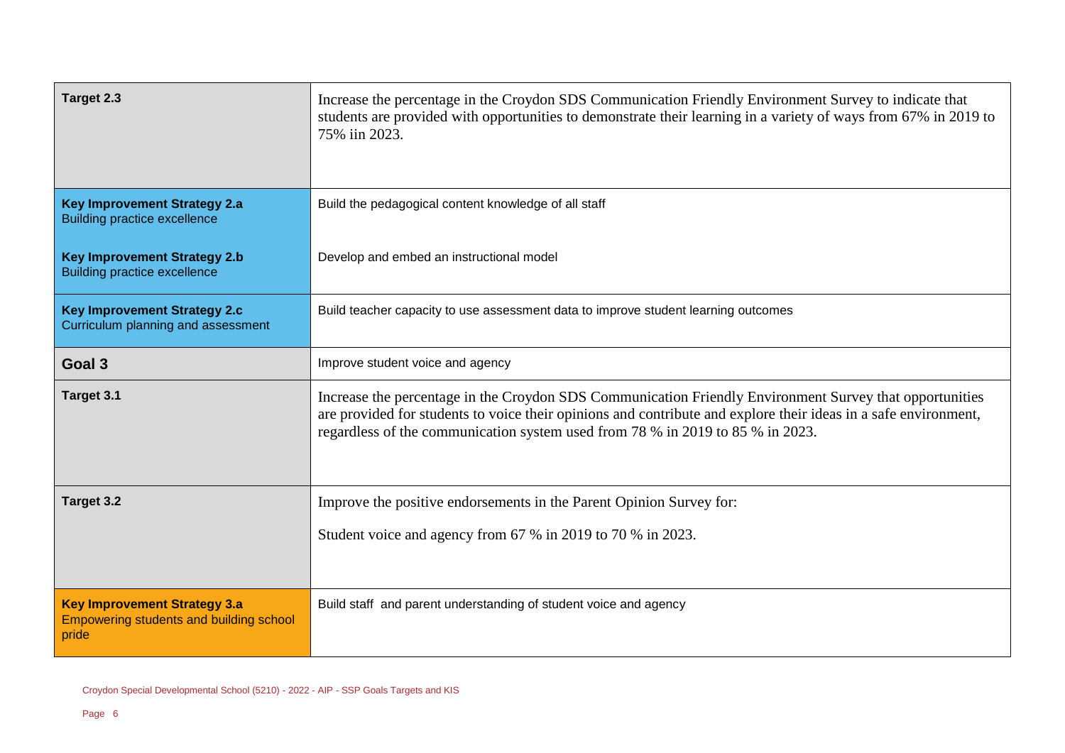| Target 2.3                                                                              | Increase the percentage in the Croydon SDS Communication Friendly Environment Survey to indicate that<br>students are provided with opportunities to demonstrate their learning in a variety of ways from 67% in 2019 to<br>75% iin 2023.                                                                    |
|-----------------------------------------------------------------------------------------|--------------------------------------------------------------------------------------------------------------------------------------------------------------------------------------------------------------------------------------------------------------------------------------------------------------|
| <b>Key Improvement Strategy 2.a</b><br><b>Building practice excellence</b>              | Build the pedagogical content knowledge of all staff                                                                                                                                                                                                                                                         |
| <b>Key Improvement Strategy 2.b</b><br><b>Building practice excellence</b>              | Develop and embed an instructional model                                                                                                                                                                                                                                                                     |
| <b>Key Improvement Strategy 2.c</b><br>Curriculum planning and assessment               | Build teacher capacity to use assessment data to improve student learning outcomes                                                                                                                                                                                                                           |
| Goal <sub>3</sub>                                                                       | Improve student voice and agency                                                                                                                                                                                                                                                                             |
| Target 3.1                                                                              | Increase the percentage in the Croydon SDS Communication Friendly Environment Survey that opportunities<br>are provided for students to voice their opinions and contribute and explore their ideas in a safe environment,<br>regardless of the communication system used from 78 % in 2019 to 85 % in 2023. |
| Target 3.2                                                                              | Improve the positive endorsements in the Parent Opinion Survey for:                                                                                                                                                                                                                                          |
|                                                                                         | Student voice and agency from 67 % in 2019 to 70 % in 2023.                                                                                                                                                                                                                                                  |
| <b>Key Improvement Strategy 3.a</b><br>Empowering students and building school<br>pride | Build staff and parent understanding of student voice and agency                                                                                                                                                                                                                                             |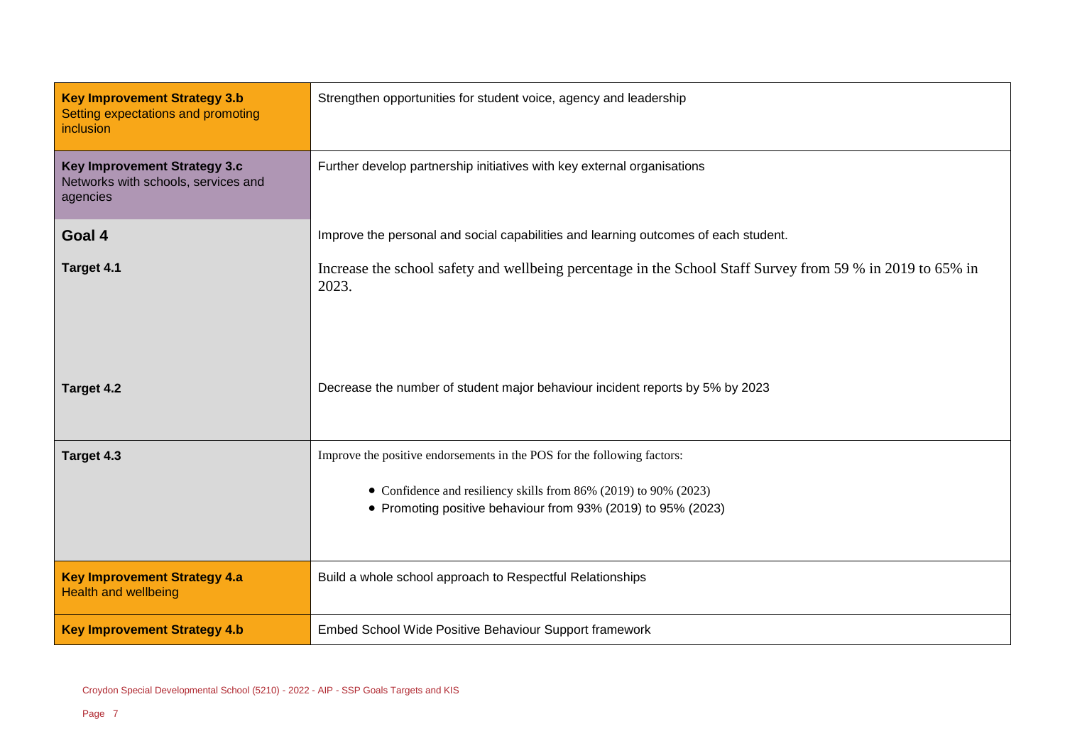| <b>Key Improvement Strategy 3.b</b><br>Setting expectations and promoting<br><i>inclusion</i> | Strengthen opportunities for student voice, agency and leadership                                                                                                                                           |  |
|-----------------------------------------------------------------------------------------------|-------------------------------------------------------------------------------------------------------------------------------------------------------------------------------------------------------------|--|
| Key Improvement Strategy 3.c<br>Networks with schools, services and<br>agencies               | Further develop partnership initiatives with key external organisations                                                                                                                                     |  |
| Goal 4                                                                                        | Improve the personal and social capabilities and learning outcomes of each student.                                                                                                                         |  |
| Target 4.1                                                                                    | Increase the school safety and wellbeing percentage in the School Staff Survey from 59 % in 2019 to 65% in<br>2023.                                                                                         |  |
| Target 4.2                                                                                    | Decrease the number of student major behaviour incident reports by 5% by 2023                                                                                                                               |  |
| Target 4.3                                                                                    | Improve the positive endorsements in the POS for the following factors:<br>• Confidence and resiliency skills from 86% (2019) to 90% (2023)<br>• Promoting positive behaviour from 93% (2019) to 95% (2023) |  |
| <b>Key Improvement Strategy 4.a</b><br><b>Health and wellbeing</b>                            | Build a whole school approach to Respectful Relationships                                                                                                                                                   |  |
| <b>Key Improvement Strategy 4.b</b>                                                           | Embed School Wide Positive Behaviour Support framework                                                                                                                                                      |  |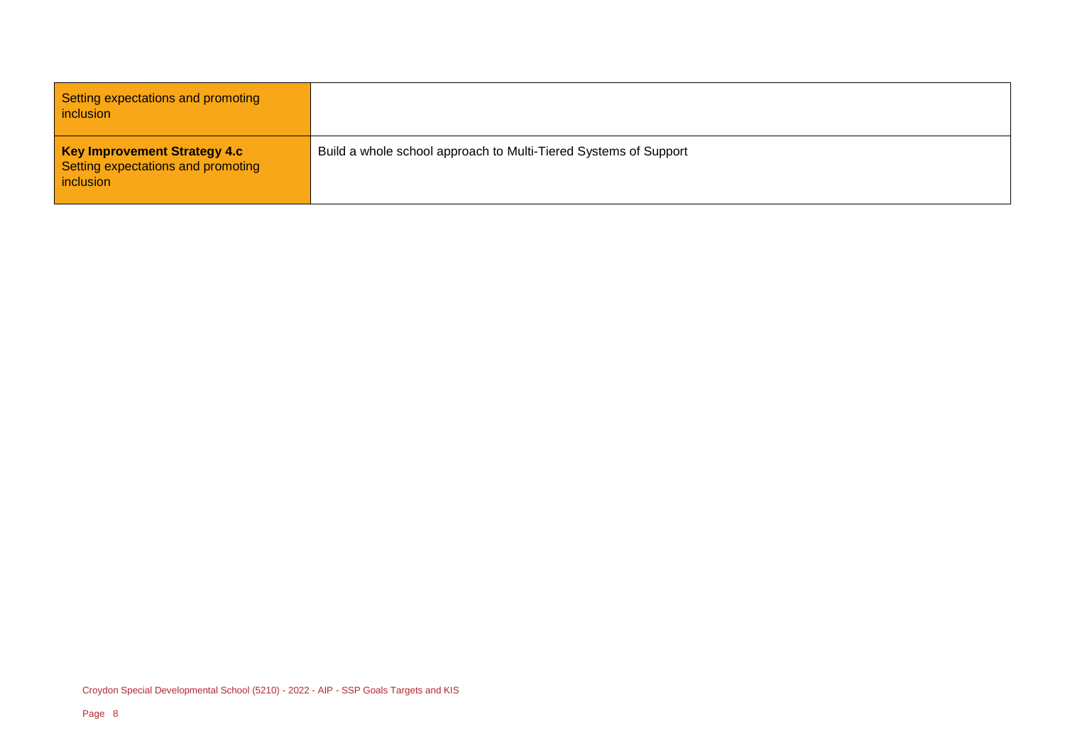Setting expectations and promoting inclusion

**Key Improvement Strategy 4.c** Setting expectations and promoting inclusion

Build a whole school approach to Multi-Tiered Systems of Support

Croydon Special Developmental School (5210) - 2022 - AIP - SSP Goals Targets and KIS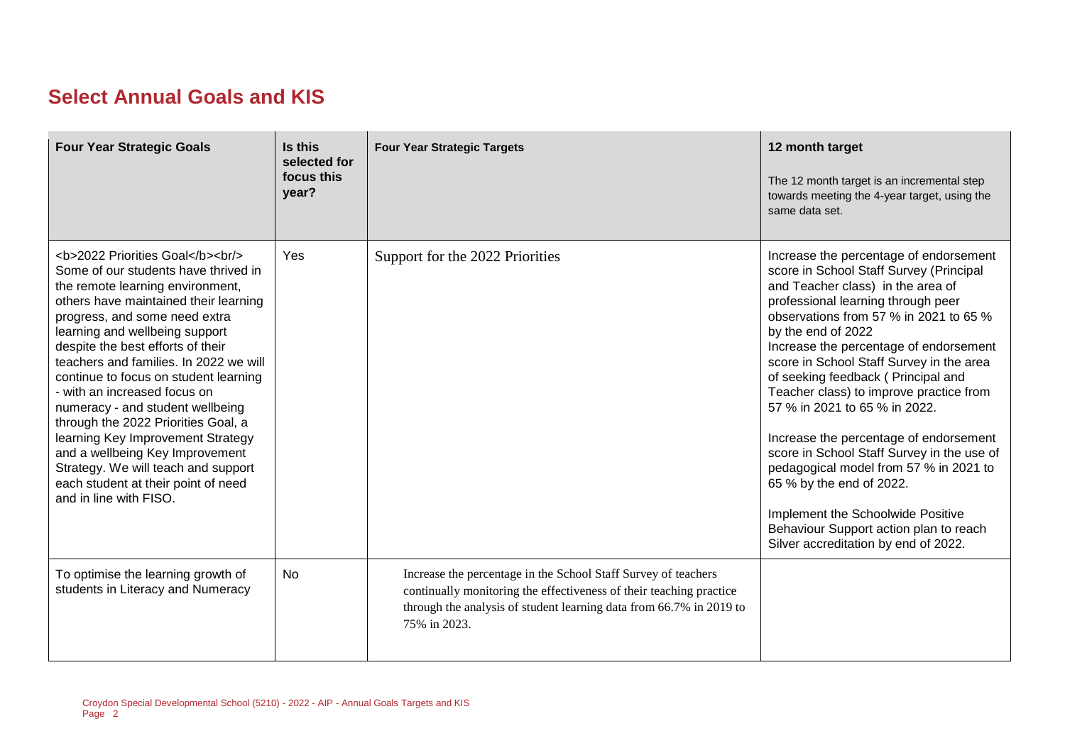## **Select Annual Goals and KIS**

| <b>Four Year Strategic Goals</b>                                                                                                                                                              | Is this<br>selected for<br>focus this<br>year? | <b>Four Year Strategic Targets</b>                                                                                                                                                                                           | 12 month target<br>The 12 month target is an incremental step<br>towards meeting the 4-year target, using the<br>same data set.                                                                                                                                                                                                                                                                                                                                                                                                                                                                                                                                                                                           |
|-----------------------------------------------------------------------------------------------------------------------------------------------------------------------------------------------|------------------------------------------------|------------------------------------------------------------------------------------------------------------------------------------------------------------------------------------------------------------------------------|---------------------------------------------------------------------------------------------------------------------------------------------------------------------------------------------------------------------------------------------------------------------------------------------------------------------------------------------------------------------------------------------------------------------------------------------------------------------------------------------------------------------------------------------------------------------------------------------------------------------------------------------------------------------------------------------------------------------------|
| <b>2022 Priorities Goal</b><br><br><br>Some of our students have thrived in<br>the remote learning environment,<br>others have maintained their learning<br>progress, and some need extra<br> | Yes                                            | Support for the 2022 Priorities                                                                                                                                                                                              | Increase the percentage of endorsement<br>score in School Staff Survey (Principal<br>and Teacher class) in the area of<br>professional learning through peer<br>observations from 57 % in 2021 to 65 %<br>by the end of 2022<br>Increase the percentage of endorsement<br>score in School Staff Survey in the area<br>of seeking feedback (Principal and<br>Teacher class) to improve practice from<br>57 % in 2021 to 65 % in 2022.<br>Increase the percentage of endorsement<br>score in School Staff Survey in the use of<br>pedagogical model from 57 % in 2021 to<br>65 % by the end of 2022.<br>Implement the Schoolwide Positive<br>Behaviour Support action plan to reach<br>Silver accreditation by end of 2022. |
| To optimise the learning growth of<br>students in Literacy and Numeracy                                                                                                                       | No                                             | Increase the percentage in the School Staff Survey of teachers<br>continually monitoring the effectiveness of their teaching practice<br>through the analysis of student learning data from 66.7% in 2019 to<br>75% in 2023. |                                                                                                                                                                                                                                                                                                                                                                                                                                                                                                                                                                                                                                                                                                                           |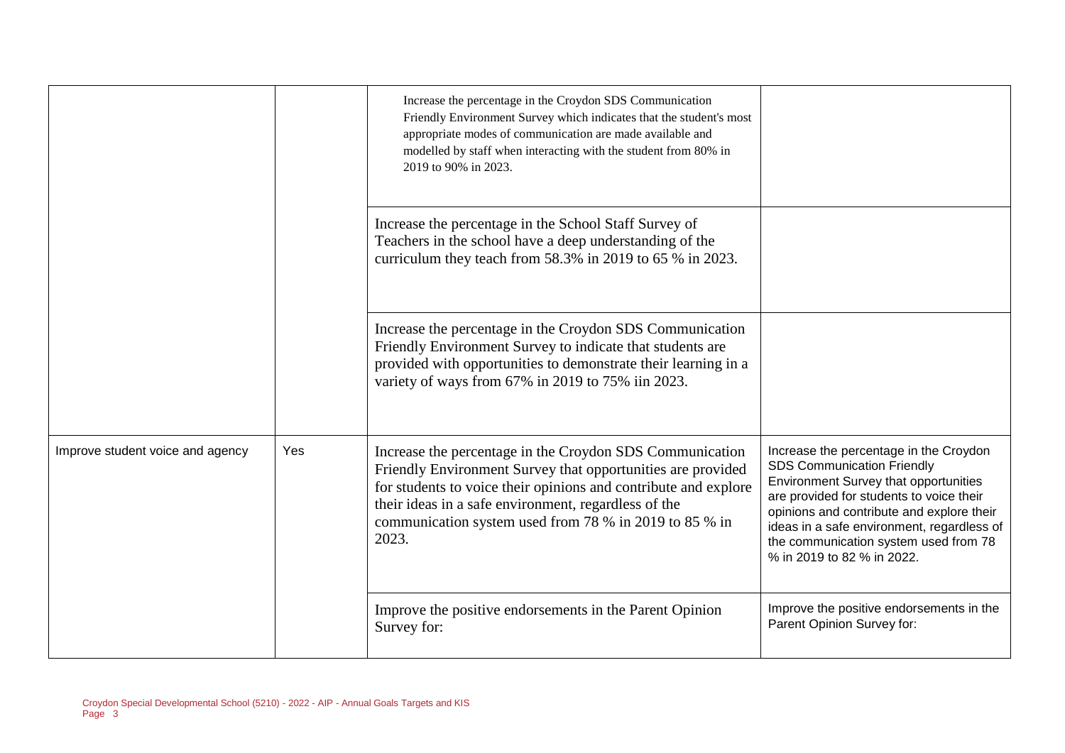|                                  |     | Increase the percentage in the Croydon SDS Communication<br>Friendly Environment Survey which indicates that the student's most<br>appropriate modes of communication are made available and<br>modelled by staff when interacting with the student from 80% in<br>2019 to 90% in 2023.                               |                                                                                                                                                                                                                                                                                                                                           |
|----------------------------------|-----|-----------------------------------------------------------------------------------------------------------------------------------------------------------------------------------------------------------------------------------------------------------------------------------------------------------------------|-------------------------------------------------------------------------------------------------------------------------------------------------------------------------------------------------------------------------------------------------------------------------------------------------------------------------------------------|
|                                  |     | Increase the percentage in the School Staff Survey of<br>Teachers in the school have a deep understanding of the<br>curriculum they teach from 58.3% in 2019 to 65 % in 2023.                                                                                                                                         |                                                                                                                                                                                                                                                                                                                                           |
|                                  |     | Increase the percentage in the Croydon SDS Communication<br>Friendly Environment Survey to indicate that students are<br>provided with opportunities to demonstrate their learning in a<br>variety of ways from 67% in 2019 to 75% iin 2023.                                                                          |                                                                                                                                                                                                                                                                                                                                           |
| Improve student voice and agency | Yes | Increase the percentage in the Croydon SDS Communication<br>Friendly Environment Survey that opportunities are provided<br>for students to voice their opinions and contribute and explore<br>their ideas in a safe environment, regardless of the<br>communication system used from 78 % in 2019 to 85 % in<br>2023. | Increase the percentage in the Croydon<br><b>SDS Communication Friendly</b><br><b>Environment Survey that opportunities</b><br>are provided for students to voice their<br>opinions and contribute and explore their<br>ideas in a safe environment, regardless of<br>the communication system used from 78<br>% in 2019 to 82 % in 2022. |
|                                  |     | Improve the positive endorsements in the Parent Opinion<br>Survey for:                                                                                                                                                                                                                                                | Improve the positive endorsements in the<br>Parent Opinion Survey for:                                                                                                                                                                                                                                                                    |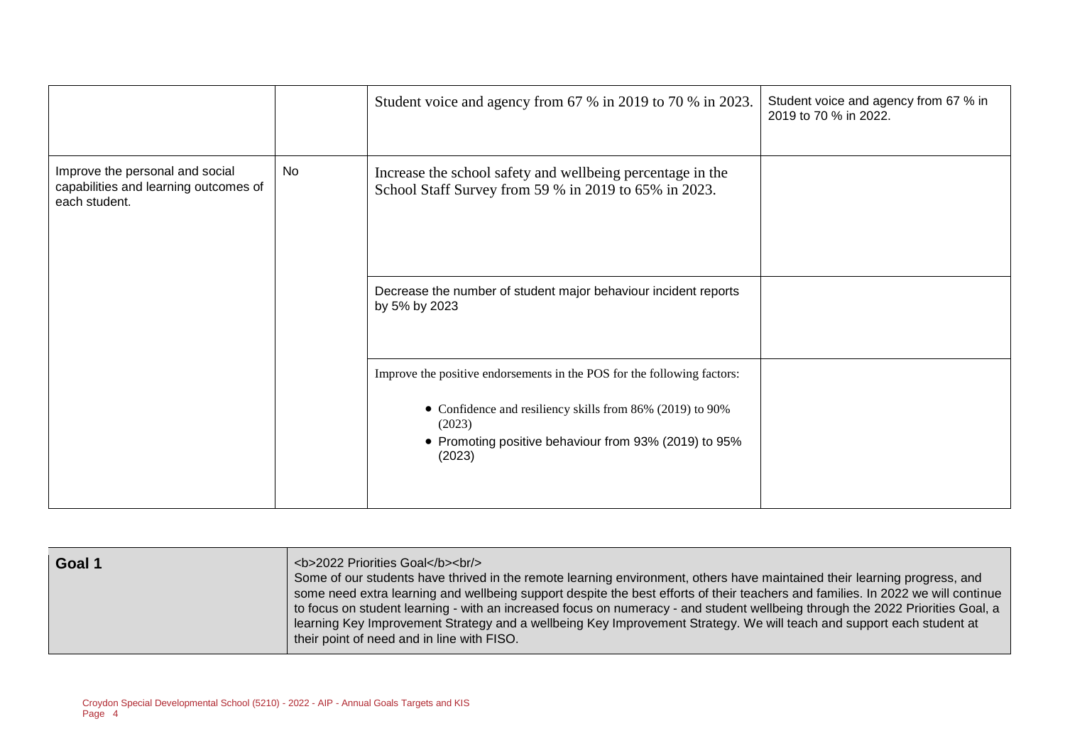|                                                                                           |           | Student voice and agency from 67 % in 2019 to 70 % in 2023.                                                                                                                                                       | Student voice and agency from 67 % in<br>2019 to 70 % in 2022. |
|-------------------------------------------------------------------------------------------|-----------|-------------------------------------------------------------------------------------------------------------------------------------------------------------------------------------------------------------------|----------------------------------------------------------------|
| Improve the personal and social<br>capabilities and learning outcomes of<br>each student. | <b>No</b> | Increase the school safety and wellbeing percentage in the<br>School Staff Survey from 59 % in 2019 to 65% in 2023.                                                                                               |                                                                |
|                                                                                           |           | Decrease the number of student major behaviour incident reports<br>by 5% by 2023                                                                                                                                  |                                                                |
|                                                                                           |           | Improve the positive endorsements in the POS for the following factors:<br>• Confidence and resiliency skills from 86% (2019) to 90%<br>(2023)<br>• Promoting positive behaviour from 93% (2019) to 95%<br>(2023) |                                                                |

| Goal 1 | <b>2022 Priorities Goal</b><br><br><br>Some of our students have thrived in the remote learning environment, others have maintained their learning progress, and<br>some need extra learning and wellbeing support despite the best efforts of their teachers and families. In 2022 we will continue<br>to focus on student learning - with an increased focus on numeracy - and student wellbeing through the 2022 Priorities Goal, a<br>learning Key Improvement Strategy and a wellbeing Key Improvement Strategy. We will teach and support each student at<br>their point of need and in line with FISO. |
|--------|---------------------------------------------------------------------------------------------------------------------------------------------------------------------------------------------------------------------------------------------------------------------------------------------------------------------------------------------------------------------------------------------------------------------------------------------------------------------------------------------------------------------------------------------------------------------------------------------------------------|
|        |                                                                                                                                                                                                                                                                                                                                                                                                                                                                                                                                                                                                               |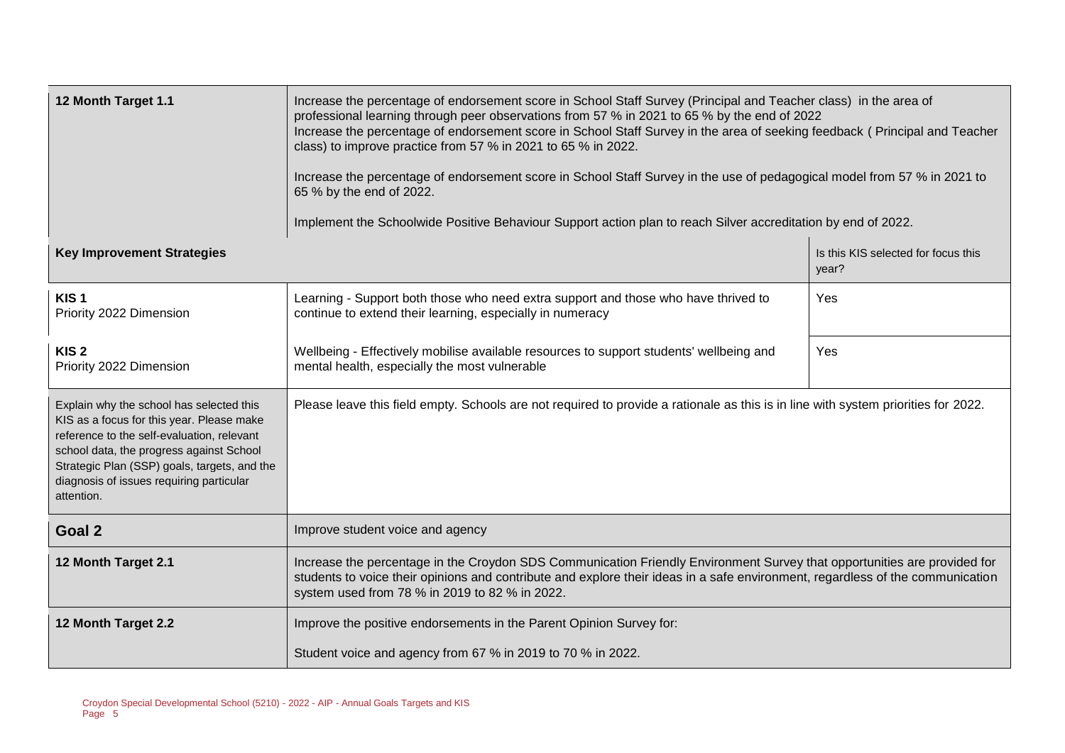| 12 Month Target 1.1                                                                                                                                                                                                                                                                       | Increase the percentage of endorsement score in School Staff Survey (Principal and Teacher class) in the area of<br>professional learning through peer observations from 57 % in 2021 to 65 % by the end of 2022<br>Increase the percentage of endorsement score in School Staff Survey in the area of seeking feedback (Principal and Teacher<br>class) to improve practice from 57 % in 2021 to 65 % in 2022.<br>Increase the percentage of endorsement score in School Staff Survey in the use of pedagogical model from 57 % in 2021 to<br>65 % by the end of 2022.<br>Implement the Schoolwide Positive Behaviour Support action plan to reach Silver accreditation by end of 2022. |                                              |  |  |
|-------------------------------------------------------------------------------------------------------------------------------------------------------------------------------------------------------------------------------------------------------------------------------------------|------------------------------------------------------------------------------------------------------------------------------------------------------------------------------------------------------------------------------------------------------------------------------------------------------------------------------------------------------------------------------------------------------------------------------------------------------------------------------------------------------------------------------------------------------------------------------------------------------------------------------------------------------------------------------------------|----------------------------------------------|--|--|
| <b>Key Improvement Strategies</b>                                                                                                                                                                                                                                                         |                                                                                                                                                                                                                                                                                                                                                                                                                                                                                                                                                                                                                                                                                          | Is this KIS selected for focus this<br>year? |  |  |
| KIS <sub>1</sub><br>Priority 2022 Dimension                                                                                                                                                                                                                                               | Learning - Support both those who need extra support and those who have thrived to<br>continue to extend their learning, especially in numeracy                                                                                                                                                                                                                                                                                                                                                                                                                                                                                                                                          | Yes                                          |  |  |
| KIS <sub>2</sub><br>Priority 2022 Dimension                                                                                                                                                                                                                                               | Wellbeing - Effectively mobilise available resources to support students' wellbeing and<br>mental health, especially the most vulnerable                                                                                                                                                                                                                                                                                                                                                                                                                                                                                                                                                 | Yes                                          |  |  |
| Explain why the school has selected this<br>KIS as a focus for this year. Please make<br>reference to the self-evaluation, relevant<br>school data, the progress against School<br>Strategic Plan (SSP) goals, targets, and the<br>diagnosis of issues requiring particular<br>attention. | Please leave this field empty. Schools are not required to provide a rationale as this is in line with system priorities for 2022.                                                                                                                                                                                                                                                                                                                                                                                                                                                                                                                                                       |                                              |  |  |
| Goal 2                                                                                                                                                                                                                                                                                    | Improve student voice and agency                                                                                                                                                                                                                                                                                                                                                                                                                                                                                                                                                                                                                                                         |                                              |  |  |
| 12 Month Target 2.1                                                                                                                                                                                                                                                                       | Increase the percentage in the Croydon SDS Communication Friendly Environment Survey that opportunities are provided for<br>students to voice their opinions and contribute and explore their ideas in a safe environment, regardless of the communication<br>system used from 78 % in 2019 to 82 % in 2022.                                                                                                                                                                                                                                                                                                                                                                             |                                              |  |  |
| 12 Month Target 2.2                                                                                                                                                                                                                                                                       | Improve the positive endorsements in the Parent Opinion Survey for:<br>Student voice and agency from 67 % in 2019 to 70 % in 2022.                                                                                                                                                                                                                                                                                                                                                                                                                                                                                                                                                       |                                              |  |  |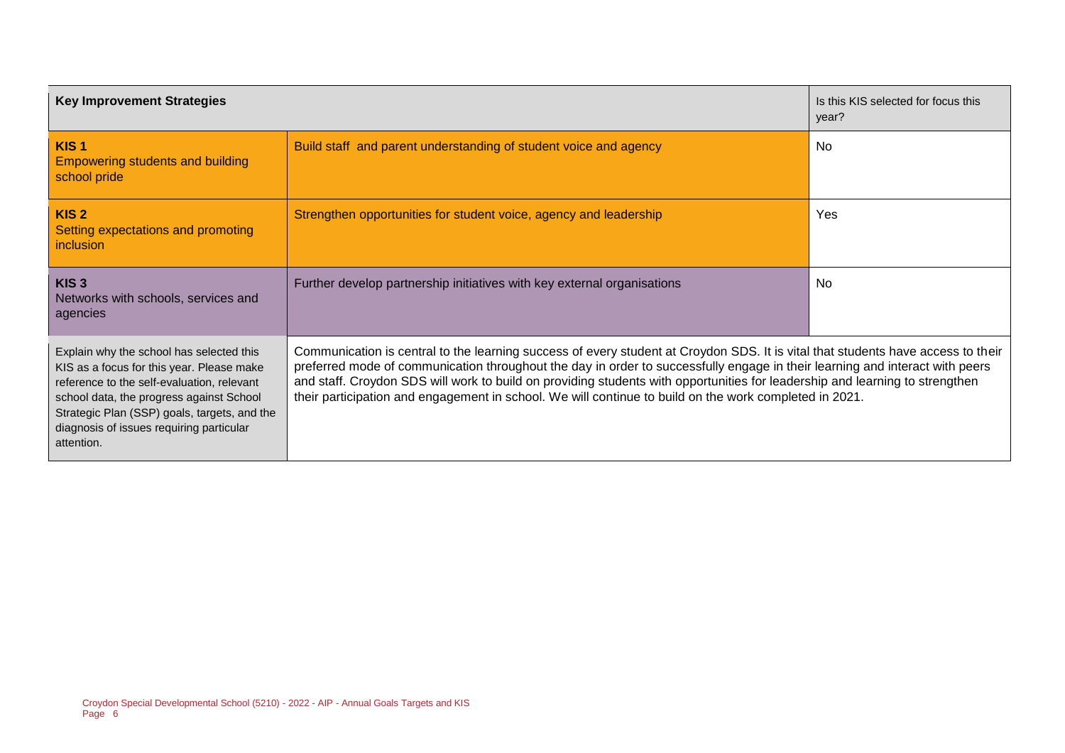| <b>Key Improvement Strategies</b>                                                                                                                                                                                                                                                         |                                                                                                                                                                                                                                                                                                                                                                                                                                                                                                            | Is this KIS selected for focus this<br>year? |  |
|-------------------------------------------------------------------------------------------------------------------------------------------------------------------------------------------------------------------------------------------------------------------------------------------|------------------------------------------------------------------------------------------------------------------------------------------------------------------------------------------------------------------------------------------------------------------------------------------------------------------------------------------------------------------------------------------------------------------------------------------------------------------------------------------------------------|----------------------------------------------|--|
| KIS <sub>1</sub><br><b>Empowering students and building</b><br>school pride                                                                                                                                                                                                               | Build staff and parent understanding of student voice and agency                                                                                                                                                                                                                                                                                                                                                                                                                                           | No.                                          |  |
| KIS <sub>2</sub><br>Setting expectations and promoting<br>inclusion                                                                                                                                                                                                                       | Strengthen opportunities for student voice, agency and leadership                                                                                                                                                                                                                                                                                                                                                                                                                                          | <b>Yes</b>                                   |  |
| KIS <sub>3</sub><br>Networks with schools, services and<br>agencies                                                                                                                                                                                                                       | Further develop partnership initiatives with key external organisations                                                                                                                                                                                                                                                                                                                                                                                                                                    | <b>No</b>                                    |  |
| Explain why the school has selected this<br>KIS as a focus for this year. Please make<br>reference to the self-evaluation, relevant<br>school data, the progress against School<br>Strategic Plan (SSP) goals, targets, and the<br>diagnosis of issues requiring particular<br>attention. | Communication is central to the learning success of every student at Croydon SDS. It is vital that students have access to their<br>preferred mode of communication throughout the day in order to successfully engage in their learning and interact with peers<br>and staff. Croydon SDS will work to build on providing students with opportunities for leadership and learning to strengthen<br>their participation and engagement in school. We will continue to build on the work completed in 2021. |                                              |  |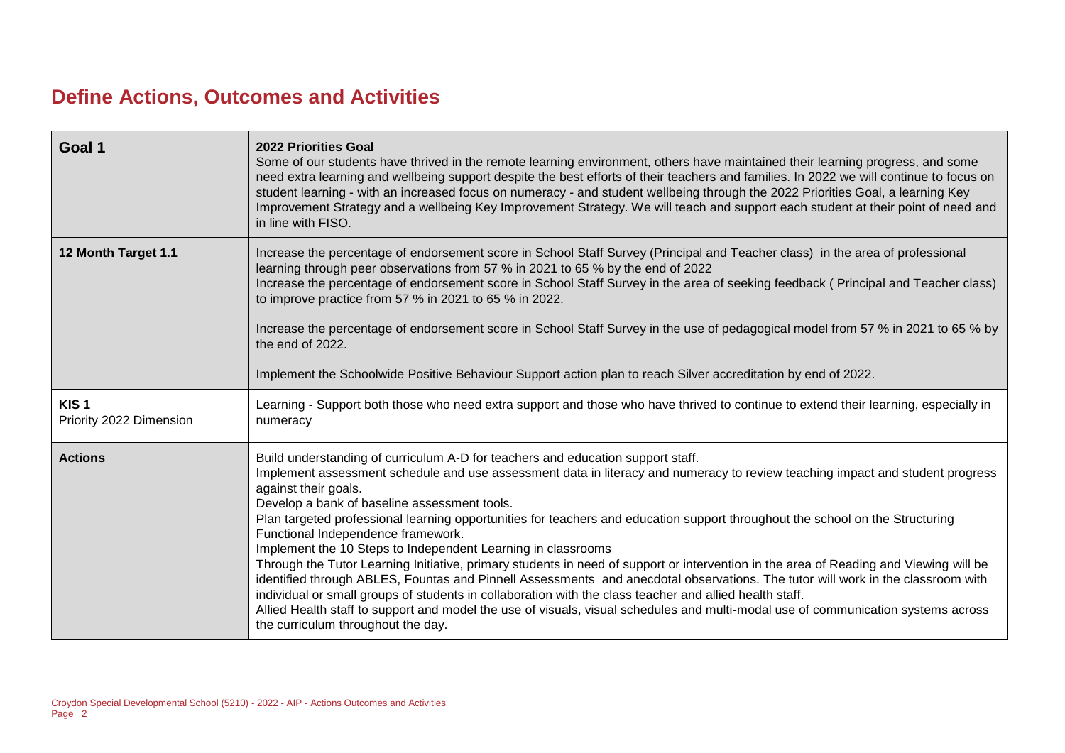## **Define Actions, Outcomes and Activities**

| Goal 1                                      | <b>2022 Priorities Goal</b><br>Some of our students have thrived in the remote learning environment, others have maintained their learning progress, and some<br>need extra learning and wellbeing support despite the best efforts of their teachers and families. In 2022 we will continue to focus on<br>student learning - with an increased focus on numeracy - and student wellbeing through the 2022 Priorities Goal, a learning Key<br>Improvement Strategy and a wellbeing Key Improvement Strategy. We will teach and support each student at their point of need and<br>in line with FISO.                                                                                                                                                                                                                                                                                                                                                                                                                                                                                             |
|---------------------------------------------|---------------------------------------------------------------------------------------------------------------------------------------------------------------------------------------------------------------------------------------------------------------------------------------------------------------------------------------------------------------------------------------------------------------------------------------------------------------------------------------------------------------------------------------------------------------------------------------------------------------------------------------------------------------------------------------------------------------------------------------------------------------------------------------------------------------------------------------------------------------------------------------------------------------------------------------------------------------------------------------------------------------------------------------------------------------------------------------------------|
| 12 Month Target 1.1                         | Increase the percentage of endorsement score in School Staff Survey (Principal and Teacher class) in the area of professional<br>learning through peer observations from 57 % in 2021 to 65 % by the end of 2022<br>Increase the percentage of endorsement score in School Staff Survey in the area of seeking feedback (Principal and Teacher class)<br>to improve practice from 57 % in 2021 to 65 % in 2022.<br>Increase the percentage of endorsement score in School Staff Survey in the use of pedagogical model from 57 % in 2021 to 65 % by<br>the end of 2022.<br>Implement the Schoolwide Positive Behaviour Support action plan to reach Silver accreditation by end of 2022.                                                                                                                                                                                                                                                                                                                                                                                                          |
| KIS <sub>1</sub><br>Priority 2022 Dimension | Learning - Support both those who need extra support and those who have thrived to continue to extend their learning, especially in<br>numeracy                                                                                                                                                                                                                                                                                                                                                                                                                                                                                                                                                                                                                                                                                                                                                                                                                                                                                                                                                   |
| <b>Actions</b>                              | Build understanding of curriculum A-D for teachers and education support staff.<br>Implement assessment schedule and use assessment data in literacy and numeracy to review teaching impact and student progress<br>against their goals.<br>Develop a bank of baseline assessment tools.<br>Plan targeted professional learning opportunities for teachers and education support throughout the school on the Structuring<br>Functional Independence framework.<br>Implement the 10 Steps to Independent Learning in classrooms<br>Through the Tutor Learning Initiative, primary students in need of support or intervention in the area of Reading and Viewing will be<br>identified through ABLES, Fountas and Pinnell Assessments and anecdotal observations. The tutor will work in the classroom with<br>individual or small groups of students in collaboration with the class teacher and allied health staff.<br>Allied Health staff to support and model the use of visuals, visual schedules and multi-modal use of communication systems across<br>the curriculum throughout the day. |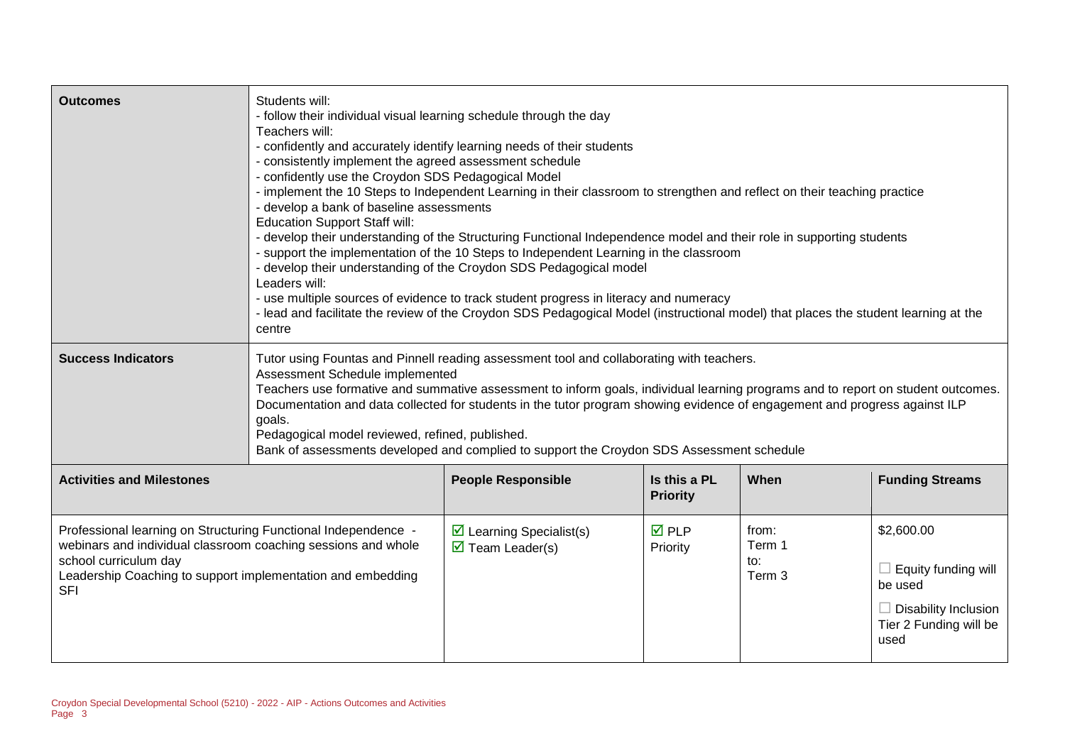| <b>Outcomes</b>                                                                                                                                                                                                                       | Students will:<br>- follow their individual visual learning schedule through the day<br>Teachers will:<br>- consistently implement the agreed assessment schedule<br>- confidently use the Croydon SDS Pedagogical Model<br>- develop a bank of baseline assessments<br><b>Education Support Staff will:</b><br>Leaders will:<br>centre                                                                                                                                                                                                                 | - confidently and accurately identify learning needs of their students<br>- implement the 10 Steps to Independent Learning in their classroom to strengthen and reflect on their teaching practice<br>- develop their understanding of the Structuring Functional Independence model and their role in supporting students<br>- support the implementation of the 10 Steps to Independent Learning in the classroom<br>- develop their understanding of the Croydon SDS Pedagogical model<br>- use multiple sources of evidence to track student progress in literacy and numeracy<br>- lead and facilitate the review of the Croydon SDS Pedagogical Model (instructional model) that places the student learning at the |                                 |                                  |                                                                                                                      |
|---------------------------------------------------------------------------------------------------------------------------------------------------------------------------------------------------------------------------------------|---------------------------------------------------------------------------------------------------------------------------------------------------------------------------------------------------------------------------------------------------------------------------------------------------------------------------------------------------------------------------------------------------------------------------------------------------------------------------------------------------------------------------------------------------------|---------------------------------------------------------------------------------------------------------------------------------------------------------------------------------------------------------------------------------------------------------------------------------------------------------------------------------------------------------------------------------------------------------------------------------------------------------------------------------------------------------------------------------------------------------------------------------------------------------------------------------------------------------------------------------------------------------------------------|---------------------------------|----------------------------------|----------------------------------------------------------------------------------------------------------------------|
| <b>Success Indicators</b>                                                                                                                                                                                                             | Tutor using Fountas and Pinnell reading assessment tool and collaborating with teachers.<br>Assessment Schedule implemented<br>Teachers use formative and summative assessment to inform goals, individual learning programs and to report on student outcomes.<br>Documentation and data collected for students in the tutor program showing evidence of engagement and progress against ILP<br>goals.<br>Pedagogical model reviewed, refined, published.<br>Bank of assessments developed and complied to support the Croydon SDS Assessment schedule |                                                                                                                                                                                                                                                                                                                                                                                                                                                                                                                                                                                                                                                                                                                           |                                 |                                  |                                                                                                                      |
| <b>Activities and Milestones</b>                                                                                                                                                                                                      |                                                                                                                                                                                                                                                                                                                                                                                                                                                                                                                                                         | <b>People Responsible</b>                                                                                                                                                                                                                                                                                                                                                                                                                                                                                                                                                                                                                                                                                                 | Is this a PL<br><b>Priority</b> | When                             | <b>Funding Streams</b>                                                                                               |
| Professional learning on Structuring Functional Independence -<br>webinars and individual classroom coaching sessions and whole<br>school curriculum day<br>Leadership Coaching to support implementation and embedding<br><b>SFI</b> |                                                                                                                                                                                                                                                                                                                                                                                                                                                                                                                                                         | $\triangleright$ Learning Specialist(s)<br>$\overline{\mathbf{M}}$ Team Leader(s)                                                                                                                                                                                                                                                                                                                                                                                                                                                                                                                                                                                                                                         | $\overline{M}$ PLP<br>Priority  | from:<br>Term 1<br>to:<br>Term 3 | \$2,600.00<br>$\Box$ Equity funding will<br>be used<br>$\Box$ Disability Inclusion<br>Tier 2 Funding will be<br>used |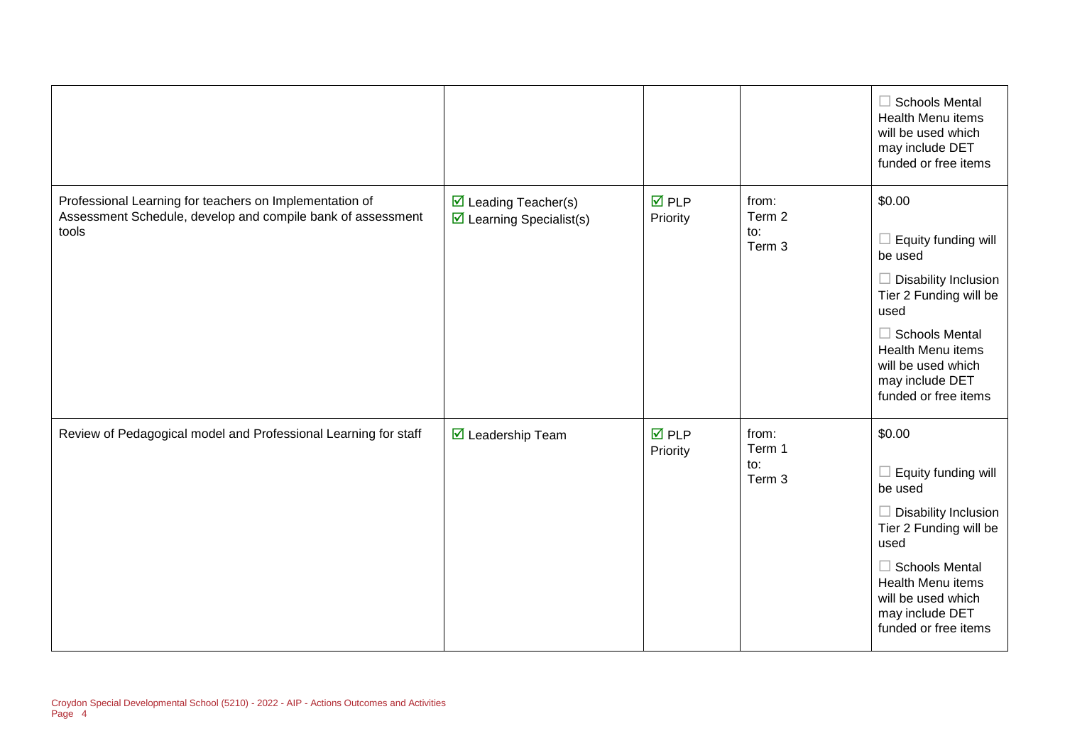|                                                                                                                                 |                                                                           |                                |                                  | $\Box$ Schools Mental<br>Health Menu items<br>will be used which<br>may include DET<br>funded or free items                                                                                                                                          |
|---------------------------------------------------------------------------------------------------------------------------------|---------------------------------------------------------------------------|--------------------------------|----------------------------------|------------------------------------------------------------------------------------------------------------------------------------------------------------------------------------------------------------------------------------------------------|
| Professional Learning for teachers on Implementation of<br>Assessment Schedule, develop and compile bank of assessment<br>tools | $\boxtimes$ Leading Teacher(s)<br>$\triangleright$ Learning Specialist(s) | $\overline{M}$ PLP<br>Priority | from:<br>Term 2<br>to:<br>Term 3 | \$0.00<br>Equity funding will<br>be used<br>$\Box$ Disability Inclusion<br>Tier 2 Funding will be<br>used<br>$\Box$ Schools Mental<br><b>Health Menu items</b><br>will be used which<br>may include DET<br>funded or free items                      |
| Review of Pedagogical model and Professional Learning for staff                                                                 | $\triangledown$ Leadership Team                                           | $\overline{M}$ PLP<br>Priority | from:<br>Term 1<br>to:<br>Term 3 | \$0.00<br>Equity funding will<br>$\overline{\phantom{a}}$<br>be used<br>$\Box$ Disability Inclusion<br>Tier 2 Funding will be<br>used<br>$\Box$ Schools Mental<br>Health Menu items<br>will be used which<br>may include DET<br>funded or free items |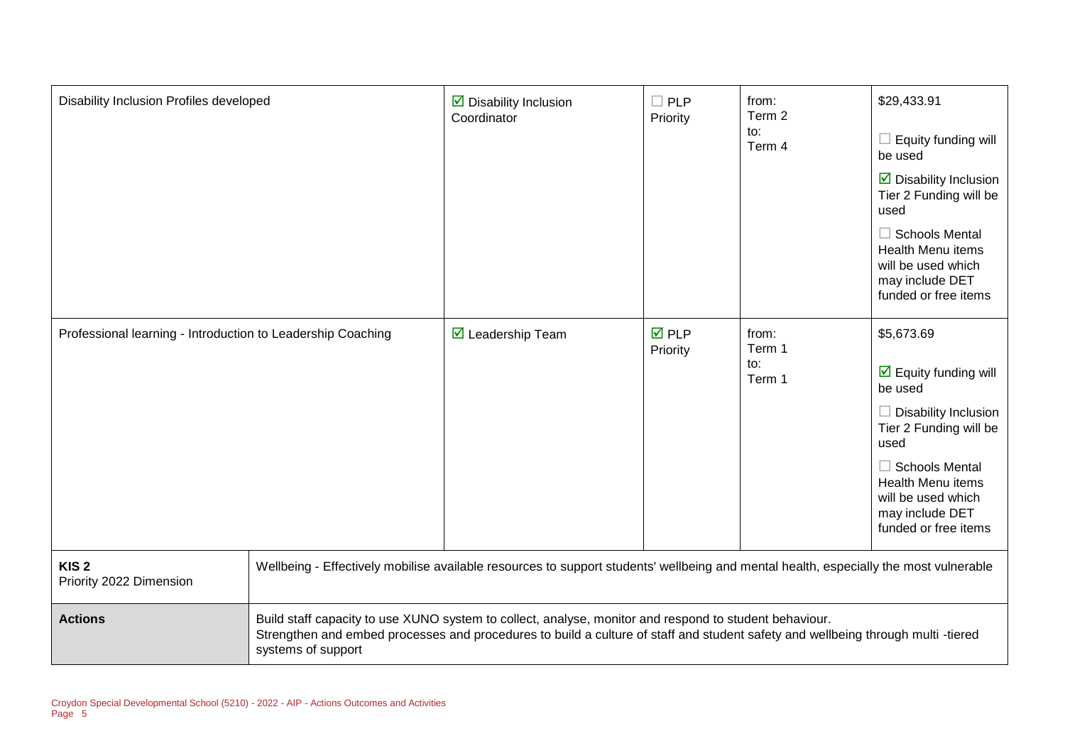| Disability Inclusion Profiles developed                     |                    | $\triangleright$ Disability Inclusion<br>Coordinator                                                                                                                                                                                       | $\square$ PLP<br>Priority      | from:<br>Term 2<br>to:<br>Term 4 | \$29,433.91<br>$\Box$ Equity funding will<br>be used<br>$\triangleright$ Disability Inclusion<br>Tier 2 Funding will be<br>used<br>$\Box$ Schools Mental<br>Health Menu items<br>will be used which<br>may include DET<br>funded or free items       |
|-------------------------------------------------------------|--------------------|--------------------------------------------------------------------------------------------------------------------------------------------------------------------------------------------------------------------------------------------|--------------------------------|----------------------------------|------------------------------------------------------------------------------------------------------------------------------------------------------------------------------------------------------------------------------------------------------|
| Professional learning - Introduction to Leadership Coaching |                    | $\triangledown$ Leadership Team                                                                                                                                                                                                            | $\overline{M}$ PLP<br>Priority | from:<br>Term 1<br>to:<br>Term 1 | \$5,673.69<br>$\overline{\mathbf{y}}$ Equity funding will<br>be used<br>$\Box$ Disability Inclusion<br>Tier 2 Funding will be<br>used<br>$\Box$ Schools Mental<br>Health Menu items<br>will be used which<br>may include DET<br>funded or free items |
| KIS <sub>2</sub><br>Priority 2022 Dimension                 |                    | Wellbeing - Effectively mobilise available resources to support students' wellbeing and mental health, especially the most vulnerable                                                                                                      |                                |                                  |                                                                                                                                                                                                                                                      |
| <b>Actions</b>                                              | systems of support | Build staff capacity to use XUNO system to collect, analyse, monitor and respond to student behaviour.<br>Strengthen and embed processes and procedures to build a culture of staff and student safety and wellbeing through multi -tiered |                                |                                  |                                                                                                                                                                                                                                                      |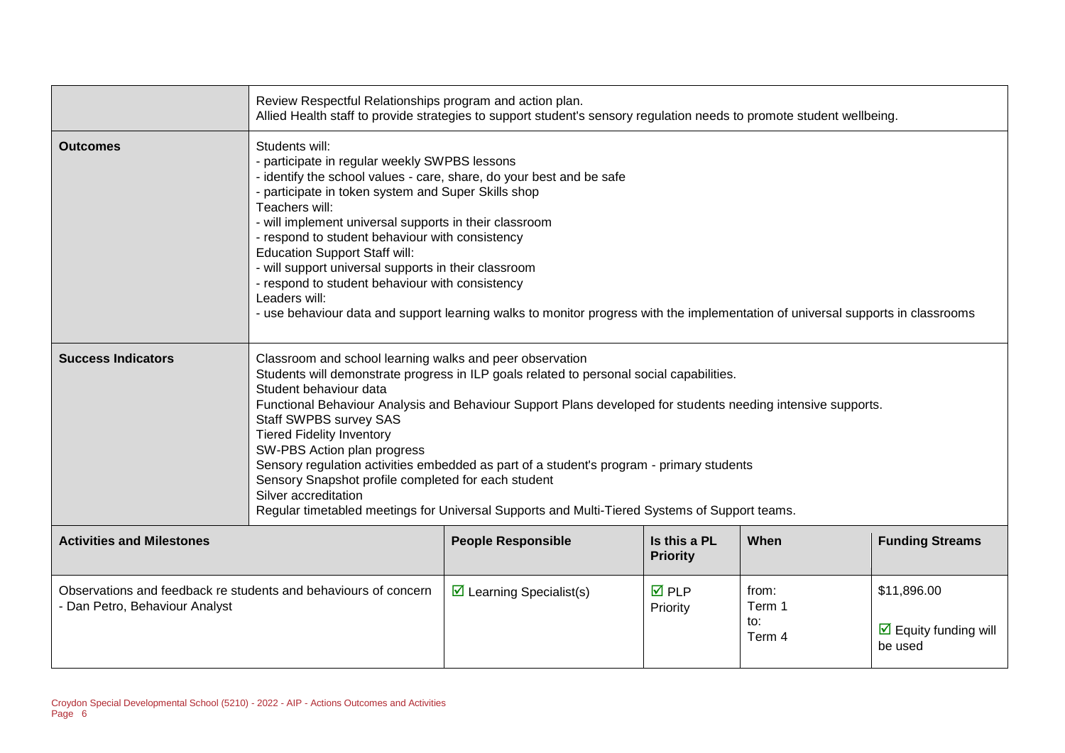|                                                                                                   | Review Respectful Relationships program and action plan.<br>Allied Health staff to provide strategies to support student's sensory regulation needs to promote student wellbeing.                                                                                                                                                                                                                                                                                                                                                                                                                                                                                       |                                                                                                                                 |                                 |                                  |                                                                |
|---------------------------------------------------------------------------------------------------|-------------------------------------------------------------------------------------------------------------------------------------------------------------------------------------------------------------------------------------------------------------------------------------------------------------------------------------------------------------------------------------------------------------------------------------------------------------------------------------------------------------------------------------------------------------------------------------------------------------------------------------------------------------------------|---------------------------------------------------------------------------------------------------------------------------------|---------------------------------|----------------------------------|----------------------------------------------------------------|
| <b>Outcomes</b>                                                                                   | Students will:<br>- participate in regular weekly SWPBS lessons<br>- identify the school values - care, share, do your best and be safe<br>- participate in token system and Super Skills shop<br>Teachers will:<br>- will implement universal supports in their classroom<br>- respond to student behaviour with consistency<br><b>Education Support Staff will:</b><br>- will support universal supports in their classroom<br>- respond to student behaviour with consistency<br>Leaders will:                                                                                                                                                                       | - use behaviour data and support learning walks to monitor progress with the implementation of universal supports in classrooms |                                 |                                  |                                                                |
| <b>Success Indicators</b>                                                                         | Classroom and school learning walks and peer observation<br>Students will demonstrate progress in ILP goals related to personal social capabilities.<br>Student behaviour data<br>Functional Behaviour Analysis and Behaviour Support Plans developed for students needing intensive supports.<br>Staff SWPBS survey SAS<br><b>Tiered Fidelity Inventory</b><br>SW-PBS Action plan progress<br>Sensory regulation activities embedded as part of a student's program - primary students<br>Sensory Snapshot profile completed for each student<br>Silver accreditation<br>Regular timetabled meetings for Universal Supports and Multi-Tiered Systems of Support teams. |                                                                                                                                 |                                 |                                  |                                                                |
| <b>Activities and Milestones</b>                                                                  |                                                                                                                                                                                                                                                                                                                                                                                                                                                                                                                                                                                                                                                                         | <b>People Responsible</b>                                                                                                       | Is this a PL<br><b>Priority</b> | When                             | <b>Funding Streams</b>                                         |
| Observations and feedback re students and behaviours of concern<br>- Dan Petro, Behaviour Analyst |                                                                                                                                                                                                                                                                                                                                                                                                                                                                                                                                                                                                                                                                         | $\triangleright$ Learning Specialist(s)                                                                                         | <b>☑</b> PLP<br>Priority        | from:<br>Term 1<br>to:<br>Term 4 | \$11,896.00<br>$\triangleright$ Equity funding will<br>be used |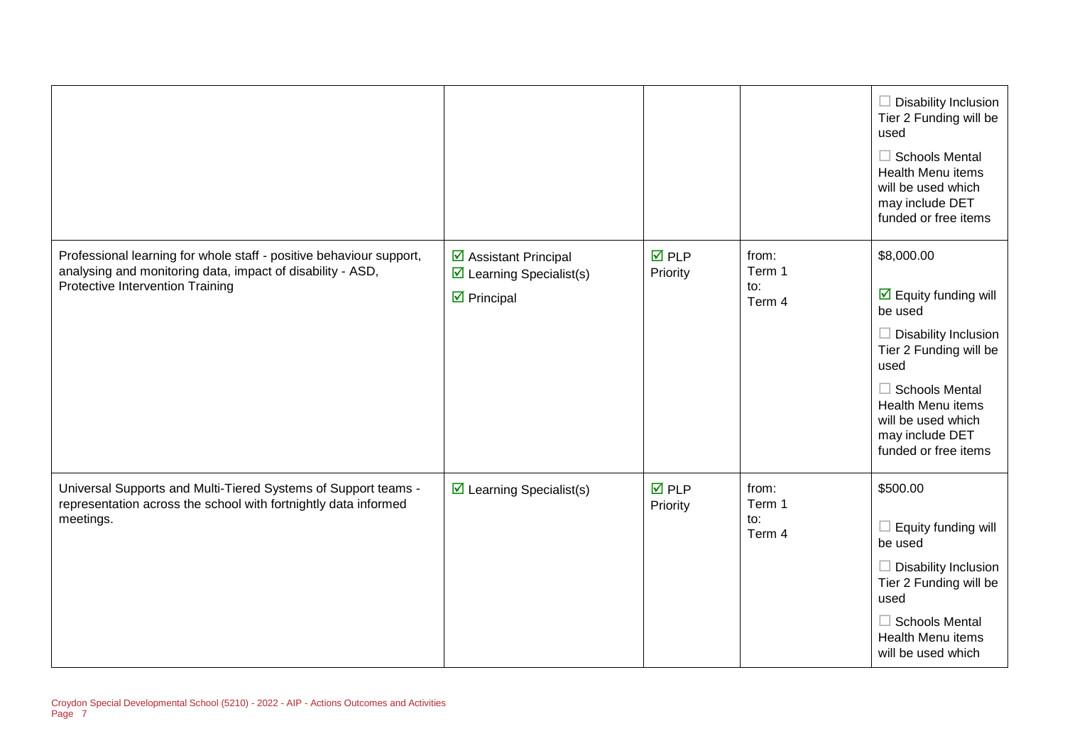|                                                                                                                                                                       |                                                                                                                      |                                |                                  | $\Box$ Disability Inclusion<br>Tier 2 Funding will be<br>used<br>$\Box$ Schools Mental<br><b>Health Menu items</b><br>will be used which<br>may include DET<br>funded or free items                                                              |
|-----------------------------------------------------------------------------------------------------------------------------------------------------------------------|----------------------------------------------------------------------------------------------------------------------|--------------------------------|----------------------------------|--------------------------------------------------------------------------------------------------------------------------------------------------------------------------------------------------------------------------------------------------|
| Professional learning for whole staff - positive behaviour support,<br>analysing and monitoring data, impact of disability - ASD,<br>Protective Intervention Training | $\overline{\mathbf{y}}$ Assistant Principal<br>$\triangleright$ Learning Specialist(s)<br>$\triangleright$ Principal | $\overline{M}$ PLP<br>Priority | from:<br>Term 1<br>to:<br>Term 4 | \$8,000.00<br>$\boxed{\triangle}$ Equity funding will<br>be used<br>$\Box$ Disability Inclusion<br>Tier 2 Funding will be<br>used<br>$\Box$ Schools Mental<br>Health Menu items<br>will be used which<br>may include DET<br>funded or free items |
| Universal Supports and Multi-Tiered Systems of Support teams -<br>representation across the school with fortnightly data informed<br>meetings.                        | $\triangleright$ Learning Specialist(s)                                                                              | $\overline{M}$ PLP<br>Priority | from:<br>Term 1<br>to:<br>Term 4 | \$500.00<br>$\Box$ Equity funding will<br>be used<br>$\Box$ Disability Inclusion<br>Tier 2 Funding will be<br>used<br>$\Box$ Schools Mental<br><b>Health Menu items</b><br>will be used which                                                    |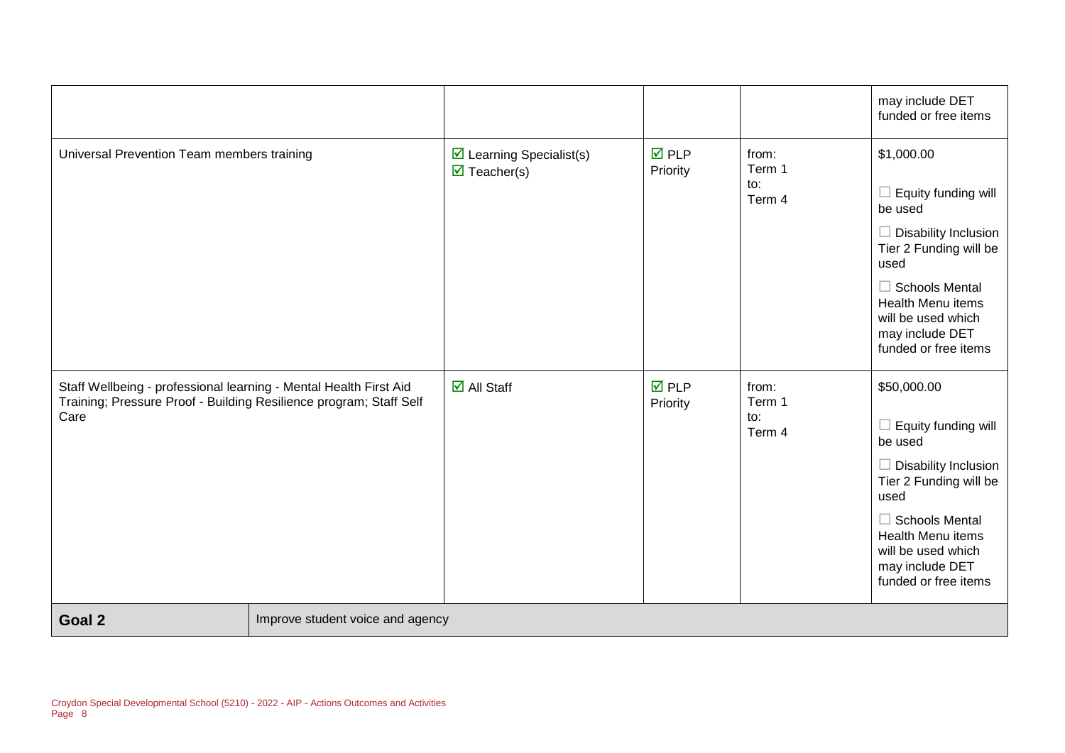|                                                                                                                                                 |                                  |                                                                               |                                |                                  | may include DET<br>funded or free items                                                                                                                                                                                |
|-------------------------------------------------------------------------------------------------------------------------------------------------|----------------------------------|-------------------------------------------------------------------------------|--------------------------------|----------------------------------|------------------------------------------------------------------------------------------------------------------------------------------------------------------------------------------------------------------------|
| Universal Prevention Team members training                                                                                                      |                                  | $\triangleright$ Learning Specialist(s)<br>$\overline{\mathbf{M}}$ Teacher(s) | $\overline{M}$ PLP<br>Priority | from:<br>Term 1<br>to:<br>Term 4 | \$1,000.00<br>Equity funding will<br>be used<br>Disability Inclusion<br>Tier 2 Funding will be<br>used<br>$\Box$ Schools Mental<br>Health Menu items<br>will be used which<br>may include DET<br>funded or free items  |
| Staff Wellbeing - professional learning - Mental Health First Aid<br>Training; Pressure Proof - Building Resilience program; Staff Self<br>Care |                                  | $\boxdot$ All Staff                                                           | $\nabla$ PLP<br>Priority       | from:<br>Term 1<br>to:<br>Term 4 | \$50,000.00<br>Equity funding will<br>be used<br>Disability Inclusion<br>Tier 2 Funding will be<br>used<br>$\Box$ Schools Mental<br>Health Menu items<br>will be used which<br>may include DET<br>funded or free items |
| Goal 2                                                                                                                                          | Improve student voice and agency |                                                                               |                                |                                  |                                                                                                                                                                                                                        |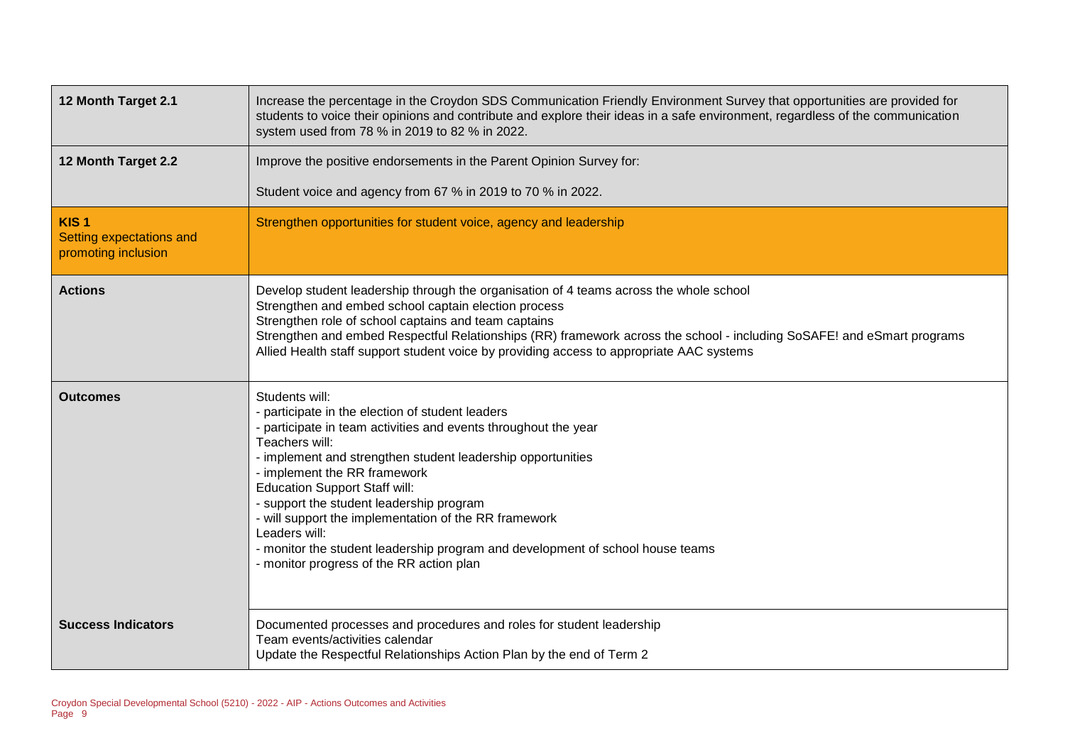| 12 Month Target 2.1                                                 | Increase the percentage in the Croydon SDS Communication Friendly Environment Survey that opportunities are provided for<br>students to voice their opinions and contribute and explore their ideas in a safe environment, regardless of the communication<br>system used from 78 % in 2019 to 82 % in 2022.                                                                                                                                                                                                                                     |
|---------------------------------------------------------------------|--------------------------------------------------------------------------------------------------------------------------------------------------------------------------------------------------------------------------------------------------------------------------------------------------------------------------------------------------------------------------------------------------------------------------------------------------------------------------------------------------------------------------------------------------|
| 12 Month Target 2.2                                                 | Improve the positive endorsements in the Parent Opinion Survey for:                                                                                                                                                                                                                                                                                                                                                                                                                                                                              |
|                                                                     | Student voice and agency from 67 % in 2019 to 70 % in 2022.                                                                                                                                                                                                                                                                                                                                                                                                                                                                                      |
| KIS <sub>1</sub><br>Setting expectations and<br>promoting inclusion | Strengthen opportunities for student voice, agency and leadership                                                                                                                                                                                                                                                                                                                                                                                                                                                                                |
| <b>Actions</b>                                                      | Develop student leadership through the organisation of 4 teams across the whole school<br>Strengthen and embed school captain election process<br>Strengthen role of school captains and team captains<br>Strengthen and embed Respectful Relationships (RR) framework across the school - including SoSAFE! and eSmart programs<br>Allied Health staff support student voice by providing access to appropriate AAC systems                                                                                                                     |
| <b>Outcomes</b>                                                     | Students will:<br>participate in the election of student leaders<br>- participate in team activities and events throughout the year<br>Teachers will:<br>- implement and strengthen student leadership opportunities<br>- implement the RR framework<br><b>Education Support Staff will:</b><br>- support the student leadership program<br>- will support the implementation of the RR framework<br>Leaders will:<br>- monitor the student leadership program and development of school house teams<br>- monitor progress of the RR action plan |
| <b>Success Indicators</b>                                           | Documented processes and procedures and roles for student leadership<br>Team events/activities calendar<br>Update the Respectful Relationships Action Plan by the end of Term 2                                                                                                                                                                                                                                                                                                                                                                  |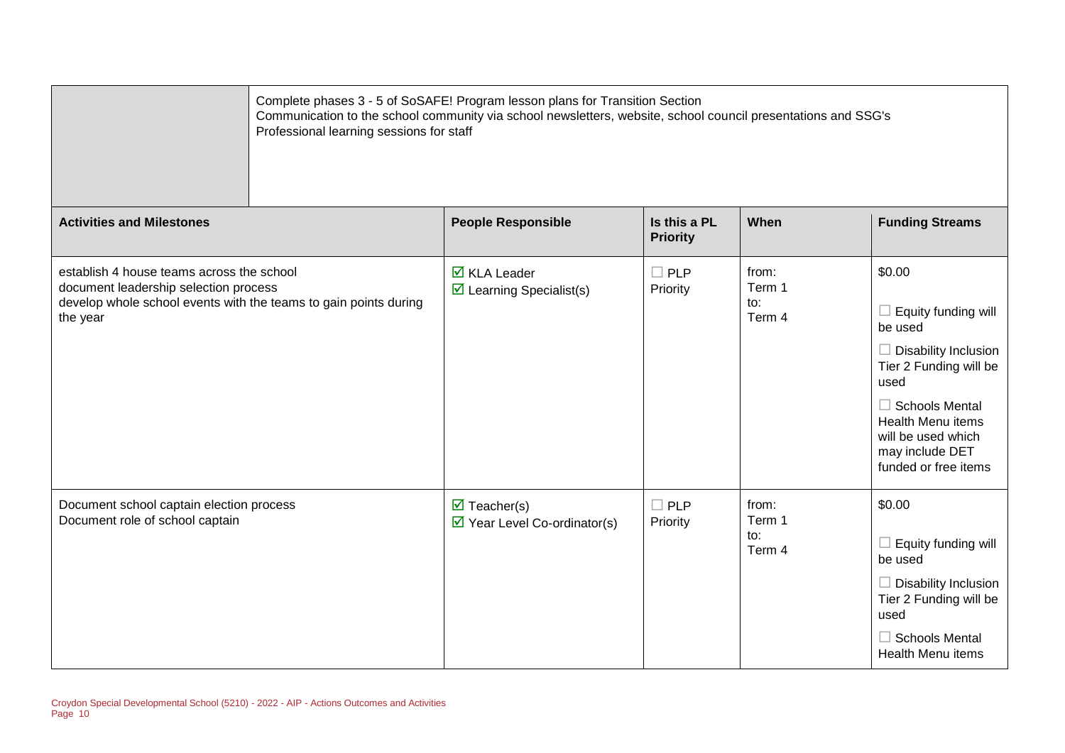|                                                                                                                                                                    | Complete phases 3 - 5 of SoSAFE! Program lesson plans for Transition Section<br>Communication to the school community via school newsletters, website, school council presentations and SSG's<br>Professional learning sessions for staff |                                 |                                  |                                                                                                                                                                                                                                        |  |
|--------------------------------------------------------------------------------------------------------------------------------------------------------------------|-------------------------------------------------------------------------------------------------------------------------------------------------------------------------------------------------------------------------------------------|---------------------------------|----------------------------------|----------------------------------------------------------------------------------------------------------------------------------------------------------------------------------------------------------------------------------------|--|
| <b>Activities and Milestones</b>                                                                                                                                   | <b>People Responsible</b>                                                                                                                                                                                                                 | Is this a PL<br><b>Priority</b> | When                             | <b>Funding Streams</b>                                                                                                                                                                                                                 |  |
| establish 4 house teams across the school<br>document leadership selection process<br>develop whole school events with the teams to gain points during<br>the year | $\overline{\mathsf{M}}$ KLA Leader<br>$\boxtimes$ Learning Specialist(s)                                                                                                                                                                  | $\Box$ PLP<br>Priority          | from:<br>Term 1<br>to:<br>Term 4 | \$0.00<br>$\Box$ Equity funding will<br>be used<br>$\Box$ Disability Inclusion<br>Tier 2 Funding will be<br>used<br>$\Box$ Schools Mental<br><b>Health Menu items</b><br>will be used which<br>may include DET<br>funded or free items |  |
| Document school captain election process<br>Document role of school captain                                                                                        | $\triangledown$ Teacher(s)<br>$\triangleright$ Year Level Co-ordinator(s)                                                                                                                                                                 | $\Box$ PLP<br>Priority          | from:<br>Term 1<br>to:<br>Term 4 | \$0.00<br>$\Box$ Equity funding will<br>be used<br>$\Box$ Disability Inclusion<br>Tier 2 Funding will be<br>used<br>$\Box$ Schools Mental<br><b>Health Menu items</b>                                                                  |  |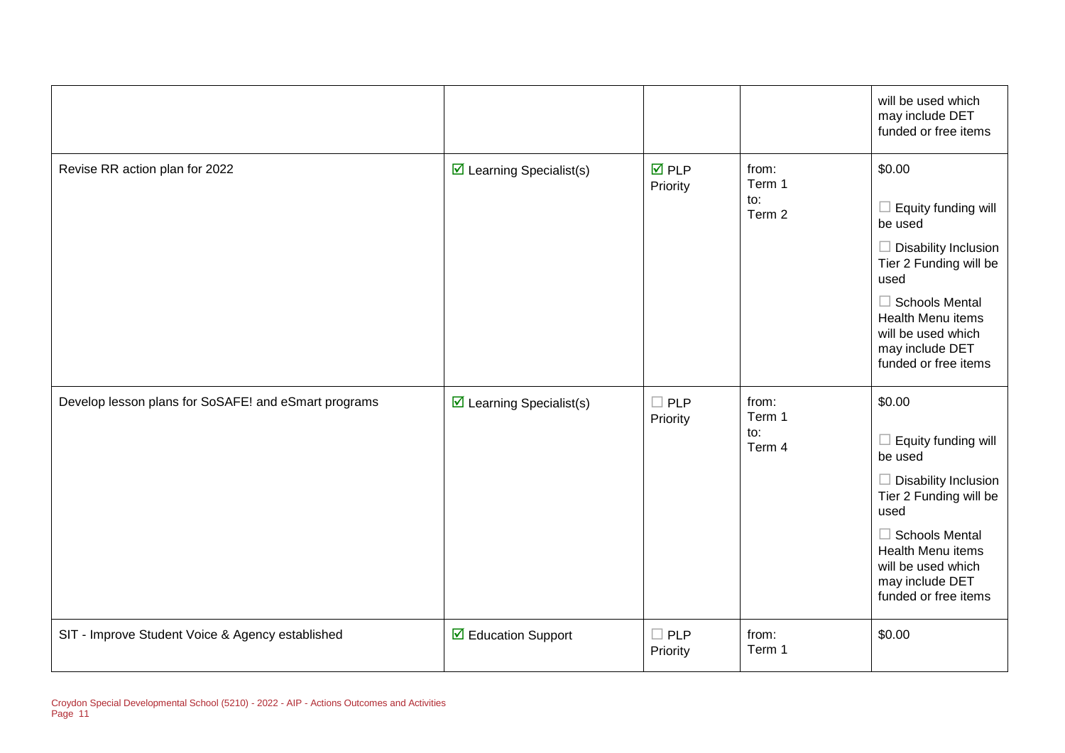|                                                      |                                         |                                |                                  | will be used which<br>may include DET<br>funded or free items                                                                                                                                                                   |
|------------------------------------------------------|-----------------------------------------|--------------------------------|----------------------------------|---------------------------------------------------------------------------------------------------------------------------------------------------------------------------------------------------------------------------------|
| Revise RR action plan for 2022                       | $\triangleright$ Learning Specialist(s) | $\overline{M}$ PLP<br>Priority | from:<br>Term 1<br>to:<br>Term 2 | \$0.00<br>$\Box$ Equity funding will<br>be used<br>$\Box$ Disability Inclusion<br>Tier 2 Funding will be<br>used<br>$\Box$ Schools Mental<br>Health Menu items<br>will be used which<br>may include DET<br>funded or free items |
| Develop lesson plans for SoSAFE! and eSmart programs | $\boxtimes$ Learning Specialist(s)      | $\square$ PLP<br>Priority      | from:<br>Term 1<br>to:<br>Term 4 | \$0.00<br>$\Box$ Equity funding will<br>be used<br>$\Box$ Disability Inclusion<br>Tier 2 Funding will be<br>used<br>$\Box$ Schools Mental<br>Health Menu items<br>will be used which<br>may include DET<br>funded or free items |
| SIT - Improve Student Voice & Agency established     | ☑ Education Support                     | $\square$ PLP<br>Priority      | from:<br>Term 1                  | \$0.00                                                                                                                                                                                                                          |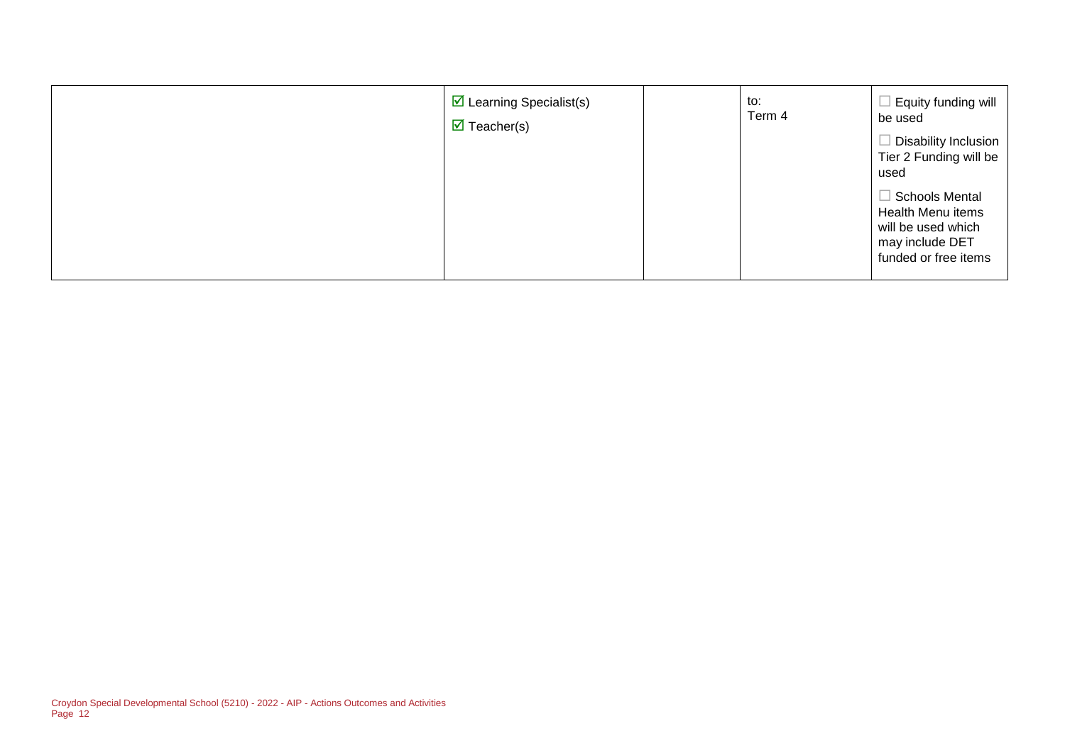| $\overline{\mathbf{y}}$ Learning Specialist(s)<br>$\overline{\mathbf{y}}$ Teacher(s) | to:<br>Term 4 | Equity funding will<br>be used<br>Disability Inclusion<br>Tier 2 Funding will be<br>used<br>$\Box$ Schools Mental<br>Health Menu items<br>will be used which<br>may include DET<br>funded or free items |
|--------------------------------------------------------------------------------------|---------------|---------------------------------------------------------------------------------------------------------------------------------------------------------------------------------------------------------|
|--------------------------------------------------------------------------------------|---------------|---------------------------------------------------------------------------------------------------------------------------------------------------------------------------------------------------------|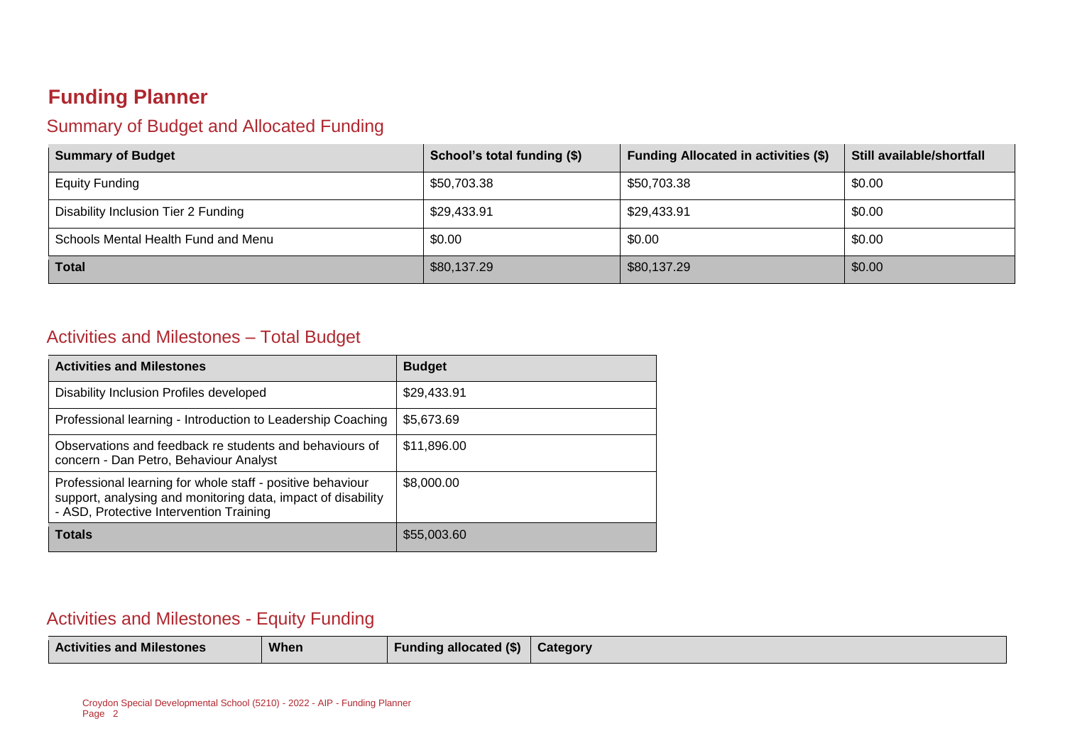## **Funding Planner**

### Summary of Budget and Allocated Funding

| <b>Summary of Budget</b>            | School's total funding (\$) | <b>Funding Allocated in activities (\$)</b> | Still available/shortfall |
|-------------------------------------|-----------------------------|---------------------------------------------|---------------------------|
| <b>Equity Funding</b>               | \$50,703.38                 | \$50,703.38                                 | \$0.00                    |
| Disability Inclusion Tier 2 Funding | \$29,433.91                 | \$29,433.91                                 | \$0.00                    |
| Schools Mental Health Fund and Menu | \$0.00                      | \$0.00                                      | \$0.00                    |
| <b>Total</b>                        | \$80,137.29                 | \$80,137.29                                 | \$0.00                    |

#### Activities and Milestones – Total Budget

| <b>Activities and Milestones</b>                                                                                                                                      | <b>Budget</b> |
|-----------------------------------------------------------------------------------------------------------------------------------------------------------------------|---------------|
| Disability Inclusion Profiles developed                                                                                                                               | \$29,433.91   |
| Professional learning - Introduction to Leadership Coaching                                                                                                           | \$5,673.69    |
| Observations and feedback re students and behaviours of<br>concern - Dan Petro, Behaviour Analyst                                                                     | \$11,896.00   |
| Professional learning for whole staff - positive behaviour<br>support, analysing and monitoring data, impact of disability<br>- ASD, Protective Intervention Training | \$8,000.00    |
| <b>Totals</b>                                                                                                                                                         | \$55,003.60   |

#### Activities and Milestones - Equity Funding

| .<br><b>Activities and Milestones</b> | When | g allocated (\$)<br>Fundina | Category |
|---------------------------------------|------|-----------------------------|----------|
|---------------------------------------|------|-----------------------------|----------|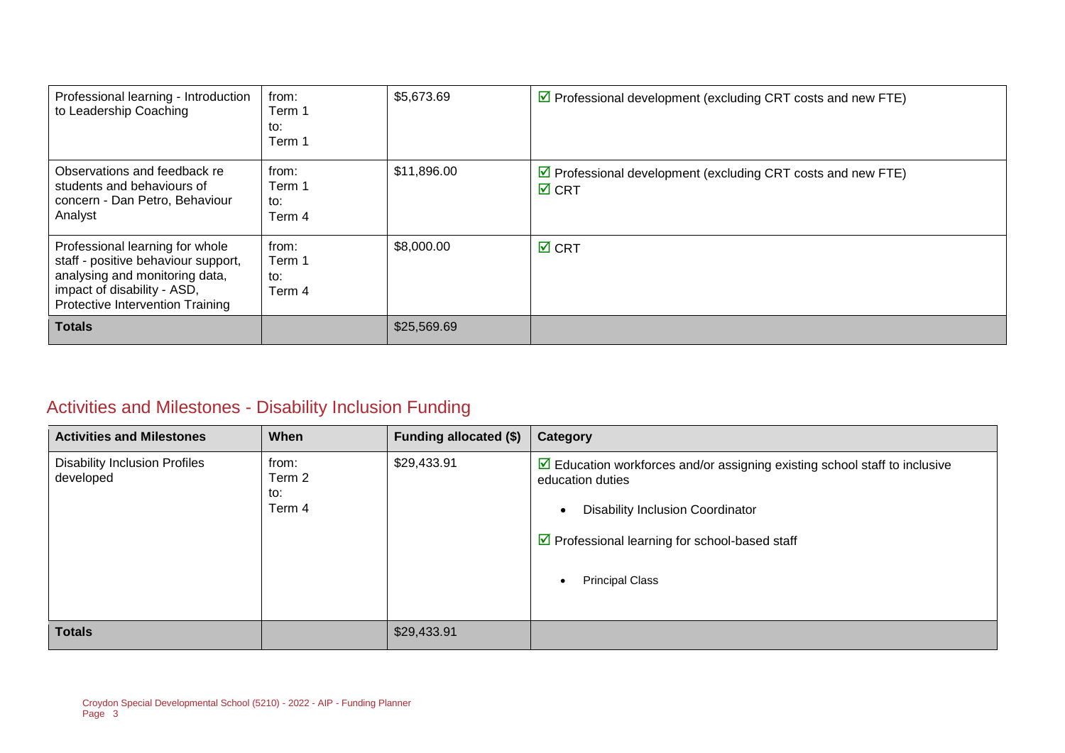| Professional learning - Introduction<br>to Leadership Coaching                                                                                                              | from:<br>Term 1<br>to:<br>Term 1 | \$5,673.69  | $\triangledown$ Professional development (excluding CRT costs and new FTE)                        |
|-----------------------------------------------------------------------------------------------------------------------------------------------------------------------------|----------------------------------|-------------|---------------------------------------------------------------------------------------------------|
| Observations and feedback re<br>students and behaviours of<br>concern - Dan Petro, Behaviour<br>Analyst                                                                     | from:<br>Term 1<br>to:<br>Term 4 | \$11,896.00 | $\triangleright$ Professional development (excluding CRT costs and new FTE)<br>$\overline{M}$ CRT |
| Professional learning for whole<br>staff - positive behaviour support,<br>analysing and monitoring data,<br>impact of disability - ASD,<br>Protective Intervention Training | from:<br>Term 1<br>to:<br>Term 4 | \$8,000.00  | $\overline{M}$ CRT                                                                                |
| <b>Totals</b>                                                                                                                                                               |                                  | \$25,569.69 |                                                                                                   |

### Activities and Milestones - Disability Inclusion Funding

| <b>Activities and Milestones</b>                  | When                             | <b>Funding allocated (\$)</b> | Category                                                                                                                                                                                                                                                                      |
|---------------------------------------------------|----------------------------------|-------------------------------|-------------------------------------------------------------------------------------------------------------------------------------------------------------------------------------------------------------------------------------------------------------------------------|
| <b>Disability Inclusion Profiles</b><br>developed | from:<br>Term 2<br>to:<br>Term 4 | \$29,433.91                   | $\triangleright$ Education workforces and/or assigning existing school staff to inclusive<br>education duties<br><b>Disability Inclusion Coordinator</b><br>$\bullet$<br>$\triangleright$ Professional learning for school-based staff<br><b>Principal Class</b><br>$\bullet$ |
| <b>Totals</b>                                     |                                  | \$29,433.91                   |                                                                                                                                                                                                                                                                               |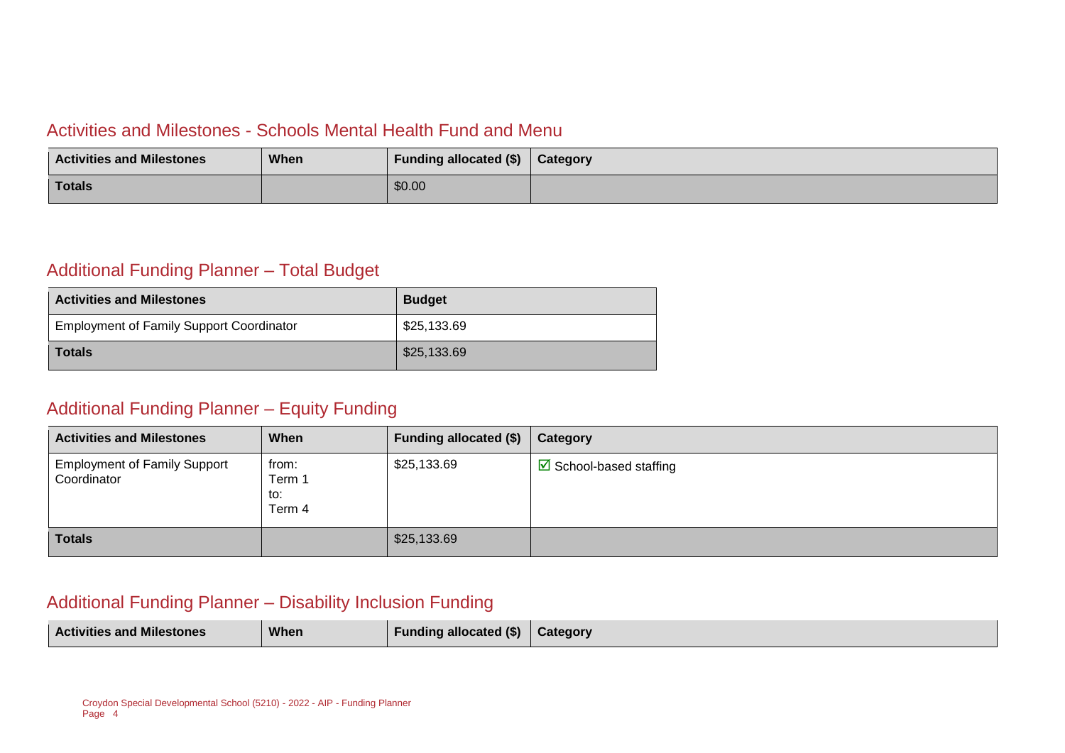#### Activities and Milestones - Schools Mental Health Fund and Menu

| <b>Activities and Milestones</b> | When | Funding allocated (\$) | Category |
|----------------------------------|------|------------------------|----------|
| <b>Totals</b>                    |      | \$0.00                 |          |

### Additional Funding Planner – Total Budget

| <b>Activities and Milestones</b>                | <b>Budget</b> |
|-------------------------------------------------|---------------|
| <b>Employment of Family Support Coordinator</b> | \$25,133.69   |
| <b>Totals</b>                                   | \$25,133.69   |

#### Additional Funding Planner – Equity Funding

| <b>Activities and Milestones</b>                   | When                             | Funding allocated (\$) | Category                               |
|----------------------------------------------------|----------------------------------|------------------------|----------------------------------------|
| <b>Employment of Family Support</b><br>Coordinator | from:<br>Term 1<br>to:<br>Term 4 | \$25,133.69            | $\triangleright$ School-based staffing |
| <b>Totals</b>                                      |                                  | \$25,133.69            |                                        |

#### Additional Funding Planner – Disability Inclusion Funding

| <b>Activities and Milestones</b><br>When<br><b>Funding allocated (\$)</b> | <b>Category</b> |
|---------------------------------------------------------------------------|-----------------|
|---------------------------------------------------------------------------|-----------------|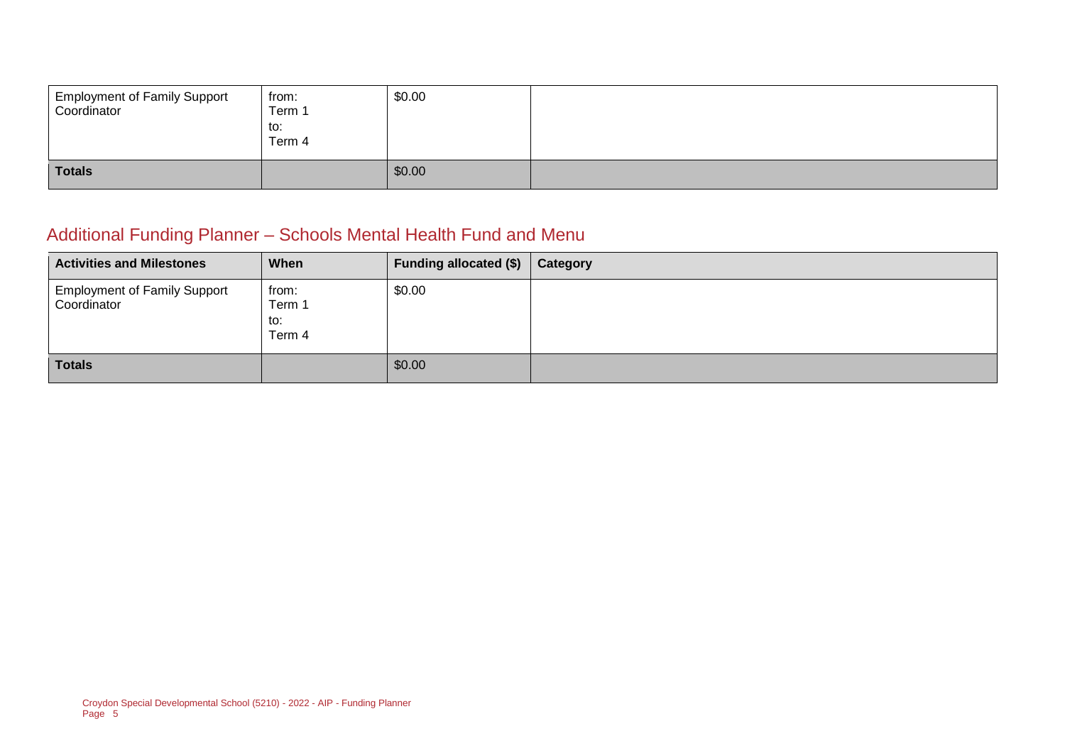| <b>Employment of Family Support</b><br>Coordinator | from:<br>Term 1<br>to:<br>Term 4 | \$0.00 |  |
|----------------------------------------------------|----------------------------------|--------|--|
| <b>Totals</b>                                      |                                  | \$0.00 |  |

### Additional Funding Planner – Schools Mental Health Fund and Menu

| <b>Activities and Milestones</b>                   | When                             | Funding allocated (\$) | Category |
|----------------------------------------------------|----------------------------------|------------------------|----------|
| <b>Employment of Family Support</b><br>Coordinator | from:<br>Term 1<br>to:<br>Term 4 | \$0.00                 |          |
| <b>Totals</b>                                      |                                  | \$0.00                 |          |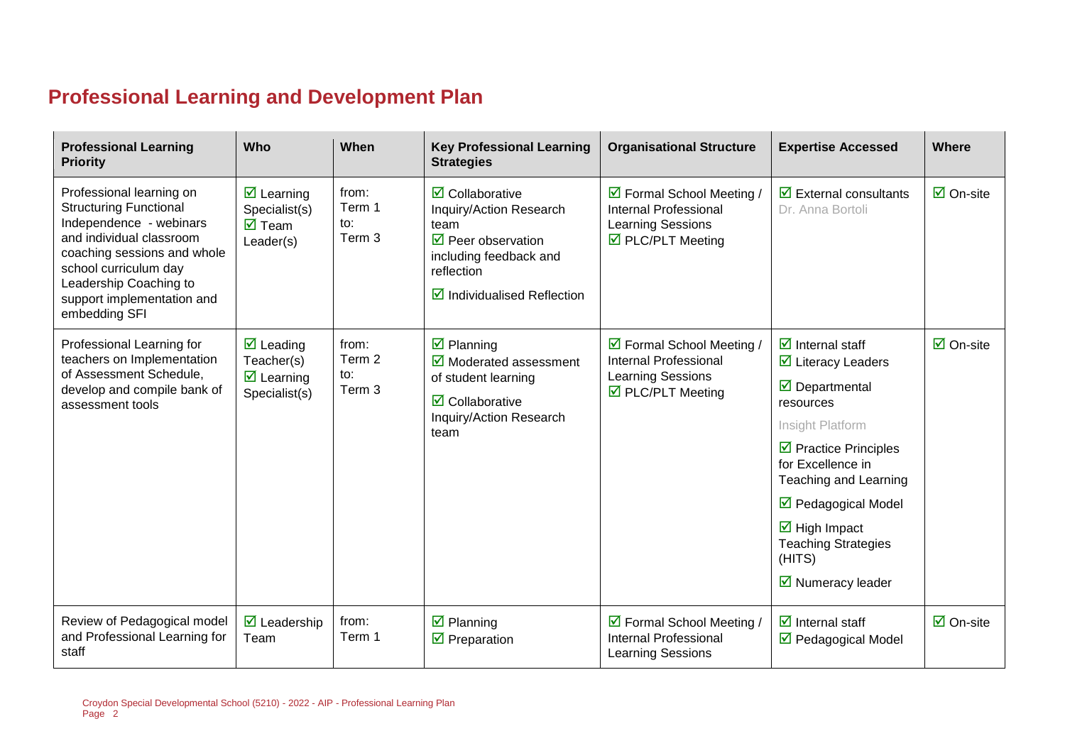# **Professional Learning and Development Plan**

| <b>Professional Learning</b><br><b>Priority</b>                                                                                                                                                                                                   | Who                                                                                                | When                             | <b>Key Professional Learning</b><br><b>Strategies</b>                                                                                                                                         | <b>Organisational Structure</b>                                                                                           | <b>Expertise Accessed</b>                                                                                                                                                                                                                                                                                                                                                                                | <b>Where</b>                    |
|---------------------------------------------------------------------------------------------------------------------------------------------------------------------------------------------------------------------------------------------------|----------------------------------------------------------------------------------------------------|----------------------------------|-----------------------------------------------------------------------------------------------------------------------------------------------------------------------------------------------|---------------------------------------------------------------------------------------------------------------------------|----------------------------------------------------------------------------------------------------------------------------------------------------------------------------------------------------------------------------------------------------------------------------------------------------------------------------------------------------------------------------------------------------------|---------------------------------|
| Professional learning on<br><b>Structuring Functional</b><br>Independence - webinars<br>and individual classroom<br>coaching sessions and whole<br>school curriculum day<br>Leadership Coaching to<br>support implementation and<br>embedding SFI | $\triangledown$ Learning<br>Specialist(s)<br>$\overline{\mathsf{M}}$ Team<br>Leader(s)             | from:<br>Term 1<br>to:<br>Term 3 | $\overline{\mathbf{2}}$ Collaborative<br>Inquiry/Action Research<br>team<br>$\triangledown$ Peer observation<br>including feedback and<br>reflection<br>$\boxtimes$ Individualised Reflection | $\triangleright$ Formal School Meeting /<br><b>Internal Professional</b><br><b>Learning Sessions</b><br>☑ PLC/PLT Meeting | $\overline{\mathbf{y}}$ External consultants<br>Dr. Anna Bortoli                                                                                                                                                                                                                                                                                                                                         | $\overline{\mathsf{M}}$ On-site |
| Professional Learning for<br>teachers on Implementation<br>of Assessment Schedule,<br>develop and compile bank of<br>assessment tools                                                                                                             | $\overline{\mathbf{M}}$ Leading<br>Teacher(s)<br>$\overline{\mathbf{z}}$ Learning<br>Specialist(s) | from:<br>Term 2<br>to:<br>Term 3 | $\overline{\mathbf{z}}$ Planning<br>$\overline{\mathbf{M}}$ Moderated assessment<br>of student learning<br>$\overline{\mathbf{2}}$ Collaborative<br>Inquiry/Action Research<br>team           | ☑ Formal School Meeting /<br><b>Internal Professional</b><br>Learning Sessions<br>$\triangledown$ PLC/PLT Meeting         | $\overline{\mathbf{y}}$ Internal staff<br>$\overline{\mathbf{y}}$ Literacy Leaders<br>$\overline{\boxtimes}$ Departmental<br>resources<br>Insight Platform<br>$\triangleright$ Practice Principles<br>for Excellence in<br>Teaching and Learning<br>$\triangledown$ Pedagogical Model<br>$\overline{\mathbf{2}}$ High Impact<br><b>Teaching Strategies</b><br>(HITS)<br>$\triangleright$ Numeracy leader | $\overline{\mathsf{M}}$ On-site |
| Review of Pedagogical model<br>and Professional Learning for<br>staff                                                                                                                                                                             | $\overline{\mathbf{2}}$ Leadership<br>Team                                                         | from:<br>Term 1                  | $\overline{\mathbf{z}}$ Planning<br>$\overline{\mathbf{M}}$ Preparation                                                                                                                       | $\boxtimes$ Formal School Meeting /<br><b>Internal Professional</b><br><b>Learning Sessions</b>                           | $\overline{\mathbf{z}}$ Internal staff<br>☑ Pedagogical Model                                                                                                                                                                                                                                                                                                                                            | $\overline{\Box}$ On-site       |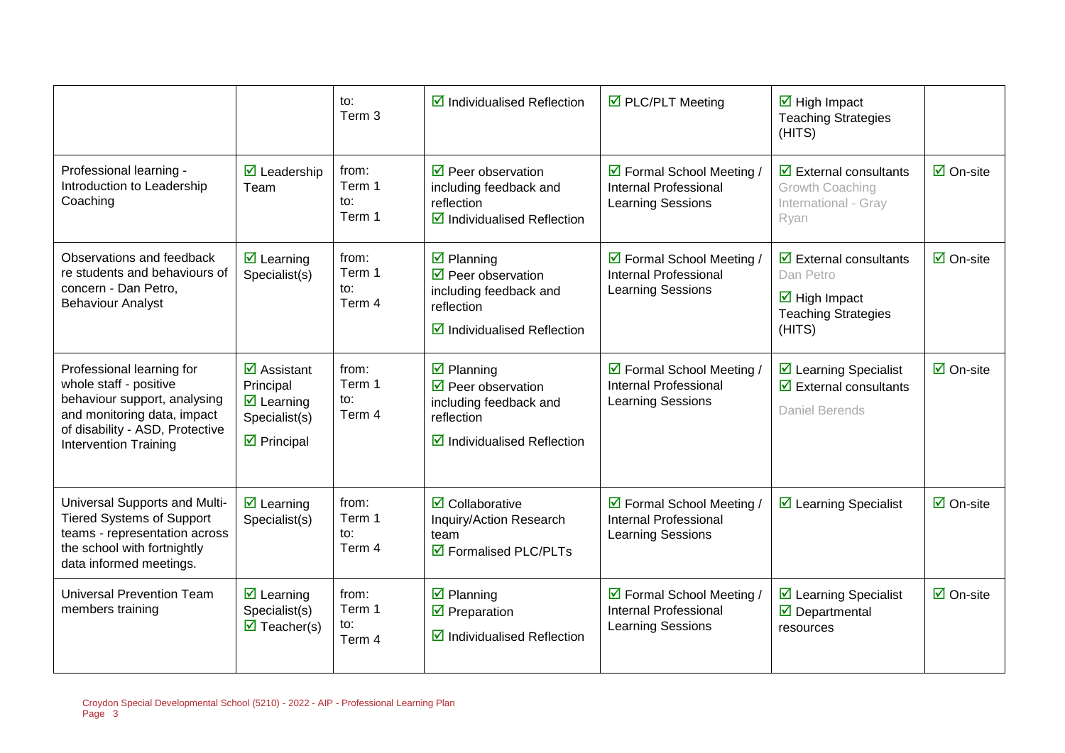|                                                                                                                                                                                       |                                                                                                                                          | to:<br>Term 3                    | $\boxtimes$ Individualised Reflection                                                                                                                     | ☑ PLC/PLT Meeting                                                                     | $\overline{\mathbf{M}}$ High Impact<br><b>Teaching Strategies</b><br>(HITS)                                                  |                                 |
|---------------------------------------------------------------------------------------------------------------------------------------------------------------------------------------|------------------------------------------------------------------------------------------------------------------------------------------|----------------------------------|-----------------------------------------------------------------------------------------------------------------------------------------------------------|---------------------------------------------------------------------------------------|------------------------------------------------------------------------------------------------------------------------------|---------------------------------|
| Professional learning -<br>Introduction to Leadership<br>Coaching                                                                                                                     | $\overline{\mathbf{M}}$ Leadership<br>Team                                                                                               | from:<br>Term 1<br>to:<br>Term 1 | $\triangledown$ Peer observation<br>including feedback and<br>reflection<br>$\boxtimes$ Individualised Reflection                                         | ☑ Formal School Meeting /<br>Internal Professional<br>Learning Sessions               | $\overline{\mathbf{M}}$ External consultants<br>Growth Coaching<br>International - Gray<br>Ryan                              | $\overline{\mathsf{M}}$ On-site |
| Observations and feedback<br>re students and behaviours of<br>concern - Dan Petro,<br><b>Behaviour Analyst</b>                                                                        | $\overline{\mathbf{z}}$ Learning<br>Specialist(s)                                                                                        | from:<br>Term 1<br>to:<br>Term 4 | $\overline{\mathbf{y}}$ Planning<br>$\triangledown$ Peer observation<br>including feedback and<br>reflection<br>$\triangledown$ Individualised Reflection | ☑ Formal School Meeting /<br><b>Internal Professional</b><br>Learning Sessions        | $\boxtimes$ External consultants<br>Dan Petro<br>$\overline{\mathbf{M}}$ High Impact<br><b>Teaching Strategies</b><br>(HITS) | $\overline{\Box}$ On-site       |
| Professional learning for<br>whole staff - positive<br>behaviour support, analysing<br>and monitoring data, impact<br>of disability - ASD, Protective<br><b>Intervention Training</b> | $\overline{\mathbf{z}}$ Assistant<br>Principal<br>$\overline{\mathbf{z}}$ Learning<br>Specialist(s)<br>$\overline{\mathbf{z}}$ Principal | from:<br>Term 1<br>to:<br>Term 4 | $\boxtimes$ Planning<br>$\triangledown$ Peer observation<br>including feedback and<br>reflection<br>$\boxtimes$ Individualised Reflection                 | ☑ Formal School Meeting /<br><b>Internal Professional</b><br>Learning Sessions        | $\triangleright$ Learning Specialist<br>$\overline{\mathbf{y}}$ External consultants<br>Daniel Berends                       | $\boxtimes$ On-site             |
| Universal Supports and Multi-<br><b>Tiered Systems of Support</b><br>teams - representation across<br>the school with fortnightly<br>data informed meetings.                          | $\overline{\mathbf{z}}$ Learning<br>Specialist(s)                                                                                        | from:<br>Term 1<br>to:<br>Term 4 | $\overline{\mathbf{z}}$ Collaborative<br>Inquiry/Action Research<br>team<br>$\overline{\boxtimes}$ Formalised PLC/PLTs                                    | ☑ Formal School Meeting /<br><b>Internal Professional</b><br>Learning Sessions        | $\triangleright$ Learning Specialist                                                                                         | $\overline{\boxtimes}$ On-site  |
| <b>Universal Prevention Team</b><br>members training                                                                                                                                  | $\overline{\mathbf{z}}$ Learning<br>Specialist(s)<br>$\overline{\mathbf{M}}$ Teacher(s)                                                  | from:<br>Term 1<br>to:<br>Term 4 | $\overline{\mathbf{y}}$ Planning<br>$\overline{\mathbf{y}}$ Preparation<br>$\boxdot$ Individualised Reflection                                            | ☑ Formal School Meeting /<br><b>Internal Professional</b><br><b>Learning Sessions</b> | $\triangleright$ Learning Specialist<br>$\overline{\mathbf{M}}$ Departmental<br>resources                                    | $\boxdot$ On-site               |